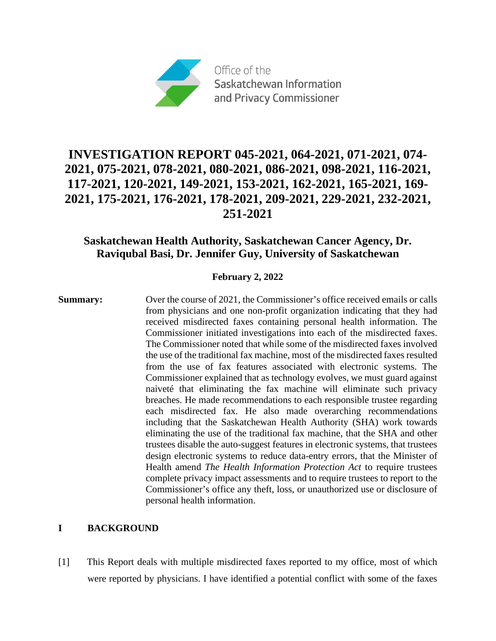

# **INVESTIGATION REPORT 045-2021, 064-2021, 071-2021, 074- 2021, 075-2021, 078-2021, 080-2021, 086-2021, 098-2021, 116-2021, 117-2021, 120-2021, 149-2021, 153-2021, 162-2021, 165-2021, 169- 2021, 175-2021, 176-2021, 178-2021, 209-2021, 229-2021, 232-2021, 251-2021**

# **Saskatchewan Health Authority, Saskatchewan Cancer Agency, Dr. Raviqubal Basi, Dr. Jennifer Guy, University of Saskatchewan**

# **February 2, 2022**

**Summary:** Over the course of 2021, the Commissioner's office received emails or calls from physicians and one non-profit organization indicating that they had received misdirected faxes containing personal health information. The Commissioner initiated investigations into each of the misdirected faxes. The Commissioner noted that while some of the misdirected faxes involved the use of the traditional fax machine, most of the misdirected faxes resulted from the use of fax features associated with electronic systems. The Commissioner explained that as technology evolves, we must guard against naiveté that eliminating the fax machine will eliminate such privacy breaches. He made recommendations to each responsible trustee regarding each misdirected fax. He also made overarching recommendations including that the Saskatchewan Health Authority (SHA) work towards eliminating the use of the traditional fax machine, that the SHA and other trustees disable the auto-suggest features in electronic systems, that trustees design electronic systems to reduce data-entry errors, that the Minister of Health amend *The Health Information Protection Act* to require trustees complete privacy impact assessments and to require trustees to report to the Commissioner's office any theft, loss, or unauthorized use or disclosure of personal health information.

# **I BACKGROUND**

[1] This Report deals with multiple misdirected faxes reported to my office, most of which were reported by physicians. I have identified a potential conflict with some of the faxes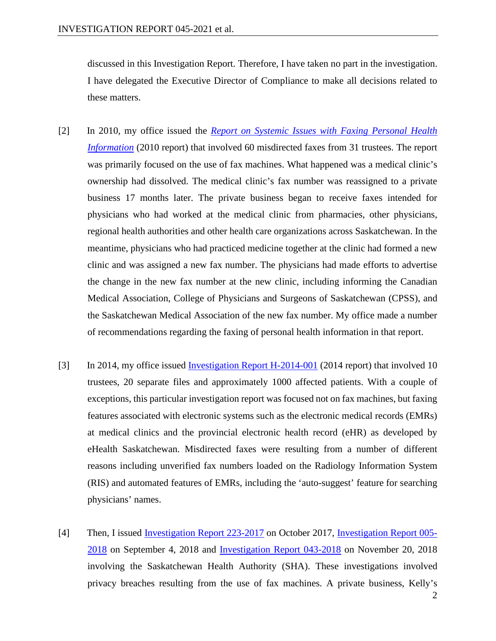discussed in this Investigation Report. Therefore, I have taken no part in the investigation. I have delegated the Executive Director of Compliance to make all decisions related to these matters.

- [2] In 2010, my office issued the *[Report on Systemic Issues with Faxing Personal Health](https://oipc.sk.ca/assets/report-on-misdirected-faxes-.pdf)  [Information](https://oipc.sk.ca/assets/report-on-misdirected-faxes-.pdf)* (2010 report) that involved 60 misdirected faxes from 31 trustees. The report was primarily focused on the use of fax machines. What happened was a medical clinic's ownership had dissolved. The medical clinic's fax number was reassigned to a private business 17 months later. The private business began to receive faxes intended for physicians who had worked at the medical clinic from pharmacies, other physicians, regional health authorities and other health care organizations across Saskatchewan. In the meantime, physicians who had practiced medicine together at the clinic had formed a new clinic and was assigned a new fax number. The physicians had made efforts to advertise the change in the new fax number at the new clinic, including informing the Canadian Medical Association, College of Physicians and Surgeons of Saskatchewan (CPSS), and the Saskatchewan Medical Association of the new fax number. My office made a number of recommendations regarding the faxing of personal health information in that report.
- [3] In 2014, my office issued [Investigation Report H-2014-001](https://oipc.sk.ca/assets/hipa-investigation-h-2014-001.pdf) (2014 report) that involved 10 trustees, 20 separate files and approximately 1000 affected patients. With a couple of exceptions, this particular investigation report was focused not on fax machines, but faxing features associated with electronic systems such as the electronic medical records (EMRs) at medical clinics and the provincial electronic health record (eHR) as developed by eHealth Saskatchewan. Misdirected faxes were resulting from a number of different reasons including unverified fax numbers loaded on the Radiology Information System (RIS) and automated features of EMRs, including the 'auto-suggest' feature for searching physicians' names.
- [4] Then, I issued [Investigation Report 223-2017](https://oipc.sk.ca/assets/hipa-investigation-223-2017.pdf) on October 2017, [Investigation Report 005-](https://oipc.sk.ca/assets/hipa-investigation-005-2018.pdf) [2018](https://oipc.sk.ca/assets/hipa-investigation-005-2018.pdf) on September 4, 2018 and [Investigation Report 043-2018](https://oipc.sk.ca/assets/hipa-investigation-043-2018.pdf) on November 20, 2018 involving the Saskatchewan Health Authority (SHA). These investigations involved privacy breaches resulting from the use of fax machines. A private business, Kelly's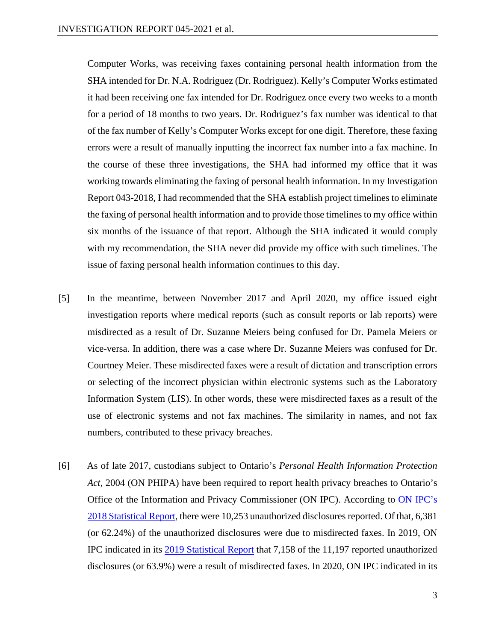Computer Works, was receiving faxes containing personal health information from the SHA intended for Dr. N.A. Rodriguez (Dr. Rodriguez). Kelly's Computer Works estimated it had been receiving one fax intended for Dr. Rodriguez once every two weeks to a month for a period of 18 months to two years. Dr. Rodriguez's fax number was identical to that of the fax number of Kelly's Computer Works except for one digit. Therefore, these faxing errors were a result of manually inputting the incorrect fax number into a fax machine. In the course of these three investigations, the SHA had informed my office that it was working towards eliminating the faxing of personal health information. In my Investigation Report 043-2018, I had recommended that the SHA establish project timelines to eliminate the faxing of personal health information and to provide those timelines to my office within six months of the issuance of that report. Although the SHA indicated it would comply with my recommendation, the SHA never did provide my office with such timelines. The issue of faxing personal health information continues to this day.

- [5] In the meantime, between November 2017 and April 2020, my office issued eight investigation reports where medical reports (such as consult reports or lab reports) were misdirected as a result of Dr. Suzanne Meiers being confused for Dr. Pamela Meiers or vice-versa. In addition, there was a case where Dr. Suzanne Meiers was confused for Dr. Courtney Meier. These misdirected faxes were a result of dictation and transcription errors or selecting of the incorrect physician within electronic systems such as the Laboratory Information System (LIS). In other words, these were misdirected faxes as a result of the use of electronic systems and not fax machines. The similarity in names, and not fax numbers, contributed to these privacy breaches.
- [6] As of late 2017, custodians subject to Ontario's *Personal Health Information Protection Act*, 2004 (ON PHIPA) have been required to report health privacy breaches to Ontario's Office of the Information and Privacy Commissioner (ON IPC). According to [ON IPC's](https://www.ipc.on.ca/wp-content/uploads/2017/06/ar-2018-stats-e.pdf)  [2018 Statistical Report,](https://www.ipc.on.ca/wp-content/uploads/2017/06/ar-2018-stats-e.pdf) there were 10,253 unauthorized disclosures reported. Of that, 6,381 (or 62.24%) of the unauthorized disclosures were due to misdirected faxes. In 2019, ON IPC indicated in its [2019 Statistical Report](https://www.ipc.on.ca/wp-content/uploads/2021/06/ar-2019-stats-e.pdf) that 7,158 of the 11,197 reported unauthorized disclosures (or 63.9%) were a result of misdirected faxes. In 2020, ON IPC indicated in its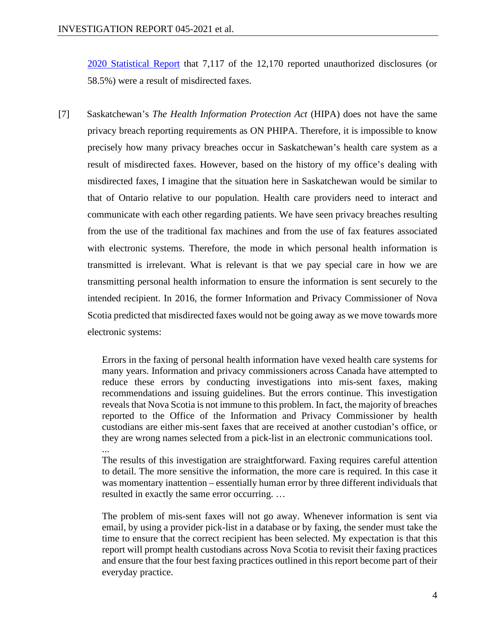[2020 Statistical Report](https://www.ipc.on.ca/wp-content/uploads/2021/06/ar-2020-stats-e.pdf) that 7,117 of the 12,170 reported unauthorized disclosures (or 58.5%) were a result of misdirected faxes.

[7] Saskatchewan's *The Health Information Protection Act* (HIPA) does not have the same privacy breach reporting requirements as ON PHIPA. Therefore, it is impossible to know precisely how many privacy breaches occur in Saskatchewan's health care system as a result of misdirected faxes. However, based on the history of my office's dealing with misdirected faxes, I imagine that the situation here in Saskatchewan would be similar to that of Ontario relative to our population. Health care providers need to interact and communicate with each other regarding patients. We have seen privacy breaches resulting from the use of the traditional fax machines and from the use of fax features associated with electronic systems. Therefore, the mode in which personal health information is transmitted is irrelevant. What is relevant is that we pay special care in how we are transmitting personal health information to ensure the information is sent securely to the intended recipient. In 2016, the former Information and Privacy Commissioner of Nova Scotia predicted that misdirected faxes would not be going away as we move towards more electronic systems:

> Errors in the faxing of personal health information have vexed health care systems for many years. Information and privacy commissioners across Canada have attempted to reduce these errors by conducting investigations into mis-sent faxes, making recommendations and issuing guidelines. But the errors continue. This investigation reveals that Nova Scotia is not immune to this problem. In fact, the majority of breaches reported to the Office of the Information and Privacy Commissioner by health custodians are either mis-sent faxes that are received at another custodian's office, or they are wrong names selected from a pick-list in an electronic communications tool. ...

> The results of this investigation are straightforward. Faxing requires careful attention to detail. The more sensitive the information, the more care is required. In this case it was momentary inattention – essentially human error by three different individuals that resulted in exactly the same error occurring. …

> The problem of mis-sent faxes will not go away. Whenever information is sent via email, by using a provider pick-list in a database or by faxing, the sender must take the time to ensure that the correct recipient has been selected. My expectation is that this report will prompt health custodians across Nova Scotia to revisit their faxing practices and ensure that the four best faxing practices outlined in this report become part of their everyday practice.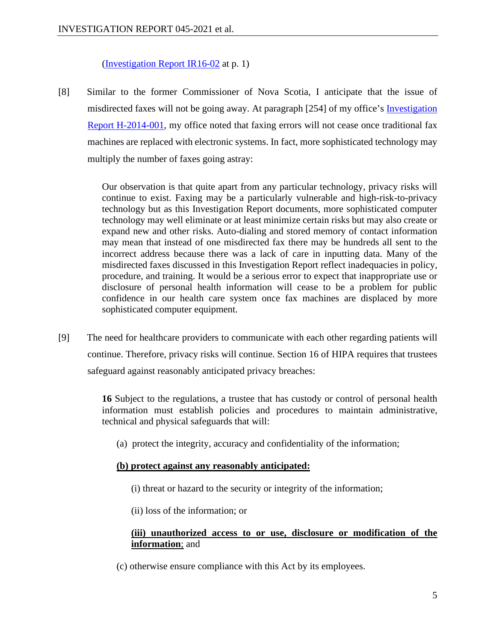[\(Investigation Report IR16-02](https://canlii.ca/t/hxsg7) at p. 1)

[8] Similar to the former Commissioner of Nova Scotia, I anticipate that the issue of misdirected faxes will not be going away. At paragraph [254] of my office's [Investigation](https://oipc.sk.ca/assets/hipa-investigation-h-2014-001.pdf)  [Report H-2014-001,](https://oipc.sk.ca/assets/hipa-investigation-h-2014-001.pdf) my office noted that faxing errors will not cease once traditional fax machines are replaced with electronic systems. In fact, more sophisticated technology may multiply the number of faxes going astray:

> Our observation is that quite apart from any particular technology, privacy risks will continue to exist. Faxing may be a particularly vulnerable and high-risk-to-privacy technology but as this Investigation Report documents, more sophisticated computer technology may well eliminate or at least minimize certain risks but may also create or expand new and other risks. Auto-dialing and stored memory of contact information may mean that instead of one misdirected fax there may be hundreds all sent to the incorrect address because there was a lack of care in inputting data. Many of the misdirected faxes discussed in this Investigation Report reflect inadequacies in policy, procedure, and training. It would be a serious error to expect that inappropriate use or disclosure of personal health information will cease to be a problem for public confidence in our health care system once fax machines are displaced by more sophisticated computer equipment.

[9] The need for healthcare providers to communicate with each other regarding patients will continue. Therefore, privacy risks will continue. Section 16 of HIPA requires that trustees safeguard against reasonably anticipated privacy breaches:

> **16** Subject to the regulations, a trustee that has custody or control of personal health information must establish policies and procedures to maintain administrative, technical and physical safeguards that will:

(a) protect the integrity, accuracy and confidentiality of the information;

# **(b) protect against any reasonably anticipated:**

- (i) threat or hazard to the security or integrity of the information;
- (ii) loss of the information; or

# **(iii) unauthorized access to or use, disclosure or modification of the information**; and

(c) otherwise ensure compliance with this Act by its employees.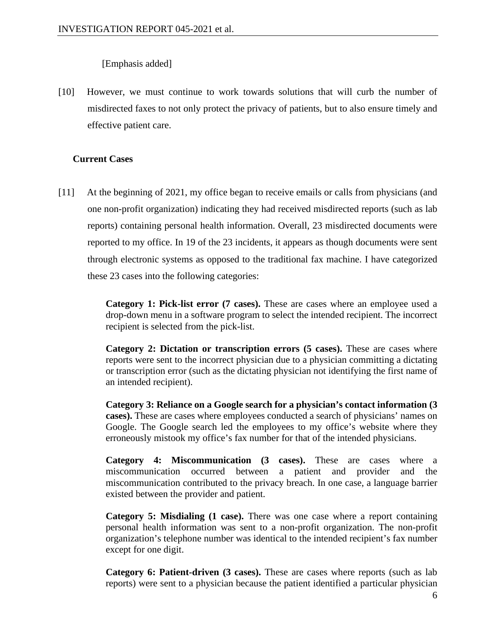[Emphasis added]

[10] However, we must continue to work towards solutions that will curb the number of misdirected faxes to not only protect the privacy of patients, but to also ensure timely and effective patient care.

# **Current Cases**

[11] At the beginning of 2021, my office began to receive emails or calls from physicians (and one non-profit organization) indicating they had received misdirected reports (such as lab reports) containing personal health information. Overall, 23 misdirected documents were reported to my office. In 19 of the 23 incidents, it appears as though documents were sent through electronic systems as opposed to the traditional fax machine. I have categorized these 23 cases into the following categories:

> **Category 1: Pick-list error (7 cases).** These are cases where an employee used a drop-down menu in a software program to select the intended recipient. The incorrect recipient is selected from the pick-list.

> **Category 2: Dictation or transcription errors (5 cases).** These are cases where reports were sent to the incorrect physician due to a physician committing a dictating or transcription error (such as the dictating physician not identifying the first name of an intended recipient).

> **Category 3: Reliance on a Google search for a physician's contact information (3 cases).** These are cases where employees conducted a search of physicians' names on Google. The Google search led the employees to my office's website where they erroneously mistook my office's fax number for that of the intended physicians.

> **Category 4: Miscommunication (3 cases).** These are cases where a miscommunication occurred between a patient and provider and the miscommunication contributed to the privacy breach. In one case, a language barrier existed between the provider and patient.

> **Category 5: Misdialing (1 case).** There was one case where a report containing personal health information was sent to a non-profit organization. The non-profit organization's telephone number was identical to the intended recipient's fax number except for one digit.

> **Category 6: Patient-driven (3 cases).** These are cases where reports (such as lab reports) were sent to a physician because the patient identified a particular physician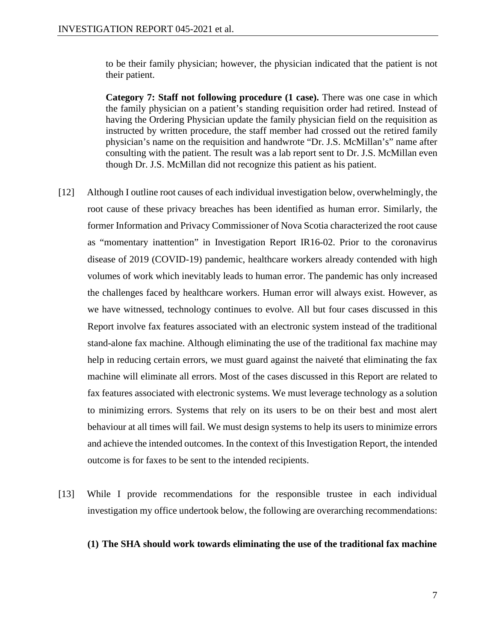to be their family physician; however, the physician indicated that the patient is not their patient.

**Category 7: Staff not following procedure (1 case).** There was one case in which the family physician on a patient's standing requisition order had retired. Instead of having the Ordering Physician update the family physician field on the requisition as instructed by written procedure, the staff member had crossed out the retired family physician's name on the requisition and handwrote "Dr. J.S. McMillan's" name after consulting with the patient. The result was a lab report sent to Dr. J.S. McMillan even though Dr. J.S. McMillan did not recognize this patient as his patient.

- [12] Although I outline root causes of each individual investigation below, overwhelmingly, the root cause of these privacy breaches has been identified as human error. Similarly, the former Information and Privacy Commissioner of Nova Scotia characterized the root cause as "momentary inattention" in Investigation Report IR16-02. Prior to the coronavirus disease of 2019 (COVID-19) pandemic, healthcare workers already contended with high volumes of work which inevitably leads to human error. The pandemic has only increased the challenges faced by healthcare workers. Human error will always exist. However, as we have witnessed, technology continues to evolve. All but four cases discussed in this Report involve fax features associated with an electronic system instead of the traditional stand-alone fax machine. Although eliminating the use of the traditional fax machine may help in reducing certain errors, we must guard against the naiveté that eliminating the fax machine will eliminate all errors. Most of the cases discussed in this Report are related to fax features associated with electronic systems. We must leverage technology as a solution to minimizing errors. Systems that rely on its users to be on their best and most alert behaviour at all times will fail. We must design systems to help its users to minimize errors and achieve the intended outcomes. In the context of this Investigation Report, the intended outcome is for faxes to be sent to the intended recipients.
- [13] While I provide recommendations for the responsible trustee in each individual investigation my office undertook below, the following are overarching recommendations:

#### **(1) The SHA should work towards eliminating the use of the traditional fax machine**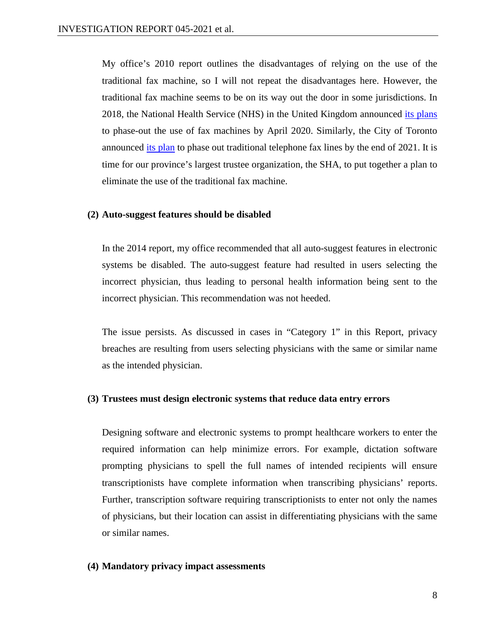My office's 2010 report outlines the disadvantages of relying on the use of the traditional fax machine, so I will not repeat the disadvantages here. However, the traditional fax machine seems to be on its way out the door in some jurisdictions. In 2018, the National Health Service (NHS) in the United Kingdom announced [its plans](https://www.gov.uk/government/news/health-and-social-care-secretary-bans-fax-machines-in-nhs) to phase-out the use of fax machines by April 2020. Similarly, the City of Toronto announced [its plan](https://www.toronto.ca/legdocs/mmis/2021/gl/bgrd/backgroundfile-173360.pdf) to phase out traditional telephone fax lines by the end of 2021. It is time for our province's largest trustee organization, the SHA, to put together a plan to eliminate the use of the traditional fax machine.

#### **(2) Auto-suggest features should be disabled**

In the 2014 report, my office recommended that all auto-suggest features in electronic systems be disabled. The auto-suggest feature had resulted in users selecting the incorrect physician, thus leading to personal health information being sent to the incorrect physician. This recommendation was not heeded.

The issue persists. As discussed in cases in "Category 1" in this Report, privacy breaches are resulting from users selecting physicians with the same or similar name as the intended physician.

#### **(3) Trustees must design electronic systems that reduce data entry errors**

Designing software and electronic systems to prompt healthcare workers to enter the required information can help minimize errors. For example, dictation software prompting physicians to spell the full names of intended recipients will ensure transcriptionists have complete information when transcribing physicians' reports. Further, transcription software requiring transcriptionists to enter not only the names of physicians, but their location can assist in differentiating physicians with the same or similar names.

#### **(4) Mandatory privacy impact assessments**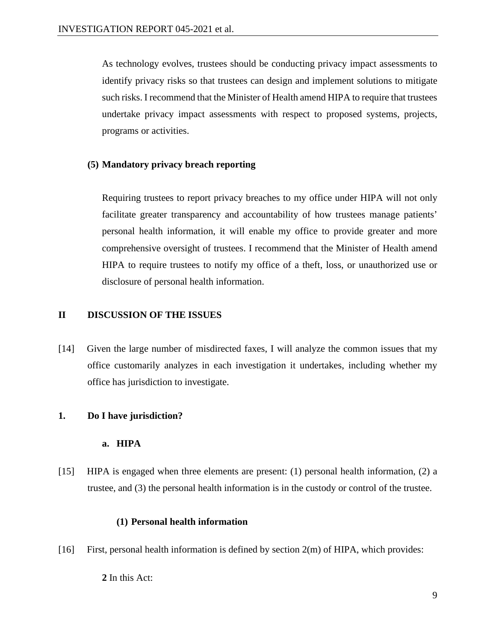As technology evolves, trustees should be conducting privacy impact assessments to identify privacy risks so that trustees can design and implement solutions to mitigate such risks. I recommend that the Minister of Health amend HIPA to require that trustees undertake privacy impact assessments with respect to proposed systems, projects, programs or activities.

# **(5) Mandatory privacy breach reporting**

Requiring trustees to report privacy breaches to my office under HIPA will not only facilitate greater transparency and accountability of how trustees manage patients' personal health information, it will enable my office to provide greater and more comprehensive oversight of trustees. I recommend that the Minister of Health amend HIPA to require trustees to notify my office of a theft, loss, or unauthorized use or disclosure of personal health information.

# **II DISCUSSION OF THE ISSUES**

[14] Given the large number of misdirected faxes, I will analyze the common issues that my office customarily analyzes in each investigation it undertakes, including whether my office has jurisdiction to investigate.

# **1. Do I have jurisdiction?**

# **a. HIPA**

[15] HIPA is engaged when three elements are present: (1) personal health information, (2) a trustee, and (3) the personal health information is in the custody or control of the trustee.

# **(1) Personal health information**

[16] First, personal health information is defined by section 2(m) of HIPA, which provides:

**2** In this Act: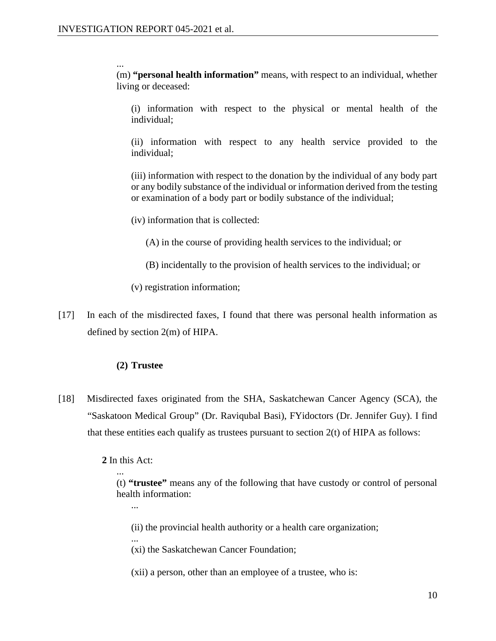...

(m) **"personal health information"** means, with respect to an individual, whether living or deceased:

(i) information with respect to the physical or mental health of the individual;

(ii) information with respect to any health service provided to the individual;

(iii) information with respect to the donation by the individual of any body part or any bodily substance of the individual or information derived from the testing or examination of a body part or bodily substance of the individual;

(iv) information that is collected:

(A) in the course of providing health services to the individual; or

(B) incidentally to the provision of health services to the individual; or

(v) registration information;

[17] In each of the misdirected faxes, I found that there was personal health information as defined by section 2(m) of HIPA.

# **(2) Trustee**

[18] Misdirected faxes originated from the SHA, Saskatchewan Cancer Agency (SCA), the "Saskatoon Medical Group" (Dr. Raviqubal Basi), FYidoctors (Dr. Jennifer Guy). I find that these entities each qualify as trustees pursuant to section  $2(t)$  of HIPA as follows:

**2** In this Act:

...

... (t) **"trustee"** means any of the following that have custody or control of personal health information:

- (ii) the provincial health authority or a health care organization;
- ... (xi) the Saskatchewan Cancer Foundation;
- (xii) a person, other than an employee of a trustee, who is: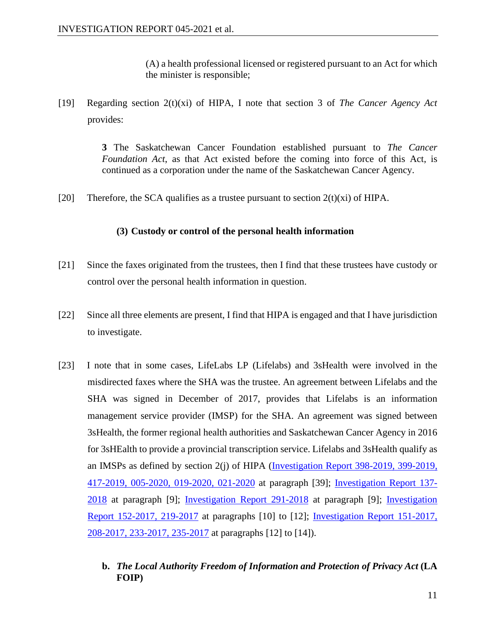(A) a health professional licensed or registered pursuant to an Act for which the minister is responsible;

[19] Regarding section 2(t)(xi) of HIPA, I note that section 3 of *The Cancer Agency Act* provides:

> **3** The Saskatchewan Cancer Foundation established pursuant to *The Cancer Foundation Act*, as that Act existed before the coming into force of this Act, is continued as a corporation under the name of the Saskatchewan Cancer Agency.

[20] Therefore, the SCA qualifies as a trustee pursuant to section  $2(t)(xi)$  of HIPA.

# **(3) Custody or control of the personal health information**

- [21] Since the faxes originated from the trustees, then I find that these trustees have custody or control over the personal health information in question.
- [22] Since all three elements are present, I find that HIPA is engaged and that I have jurisdiction to investigate.
- [23] I note that in some cases, LifeLabs LP (Lifelabs) and 3sHealth were involved in the misdirected faxes where the SHA was the trustee. An agreement between Lifelabs and the SHA was signed in December of 2017, provides that Lifelabs is an information management service provider (IMSP) for the SHA. An agreement was signed between 3sHealth, the former regional health authorities and Saskatchewan Cancer Agency in 2016 for 3sHEalth to provide a provincial transcription service. Lifelabs and 3sHealth qualify as an IMSPs as defined by section 2(j) of HIPA [\(Investigation Report 398-2019, 399-2019,](https://oipc.sk.ca/assets/hipa-investigation-398-2019-399-2019-417-2019-005-2020-019-2020-021-2020.pdf)  [417-2019, 005-2020, 019-2020, 021-2020](https://oipc.sk.ca/assets/hipa-investigation-398-2019-399-2019-417-2019-005-2020-019-2020-021-2020.pdf) at paragraph [39]; [Investigation Report 137-](https://oipc.sk.ca/assets/hipa-investigation-137-2018.pdf) [2018](https://oipc.sk.ca/assets/hipa-investigation-137-2018.pdf) at paragraph [9]; [Investigation Report 291-2018](https://oipc.sk.ca/assets/hipa-investigation-291-2018.pdf) at paragraph [9]; [Investigation](https://oipc.sk.ca/assets/hipa-investigation-152-2017-and-219-2017.pdf)  [Report 152-2017, 219-2017](https://oipc.sk.ca/assets/hipa-investigation-152-2017-and-219-2017.pdf) at paragraphs [10] to [12]; [Investigation Report 151-2017,](https://oipc.sk.ca/assets/hipa-investigation-151-2017-208-2017-233-2017-and-235-2017.pdf)  [208-2017, 233-2017, 235-2017](https://oipc.sk.ca/assets/hipa-investigation-151-2017-208-2017-233-2017-and-235-2017.pdf) at paragraphs [12] to [14]).
	- **b.** *The Local Authority Freedom of Information and Protection of Privacy Act* **(LA FOIP)**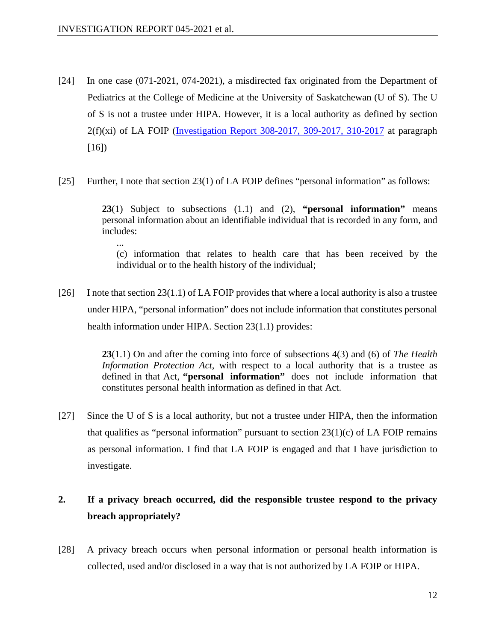- [24] In one case (071-2021, 074-2021), a misdirected fax originated from the Department of Pediatrics at the College of Medicine at the University of Saskatchewan (U of S). The U of S is not a trustee under HIPA. However, it is a local authority as defined by section  $2(f)(xi)$  of LA FOIP [\(Investigation Report 308-2017, 309-2017, 310-2017](https://oipc.sk.ca/assets/hipa-investigation-308-2017_309-2017_310-2017.pdf) at paragraph [16])
- [25] Further, I note that section 23(1) of LA FOIP defines "personal information" as follows:

**23**(1) Subject to subsections (1.1) and (2), **"personal information"** means personal information about an identifiable individual that is recorded in any form, and includes:

... (c) information that relates to health care that has been received by the individual or to the health history of the individual;

[26] I note that section  $23(1.1)$  of LA FOIP provides that where a local authority is also a trustee under HIPA, "personal information" does not include information that constitutes personal health information under HIPA. Section 23(1.1) provides:

> **23**(1.1) On and after the coming into force of subsections 4(3) and (6) of *The Health Information Protection Act*, with respect to a local authority that is a trustee as defined in that Act, **"personal information"** does not include information that constitutes personal health information as defined in that Act.

[27] Since the U of S is a local authority, but not a trustee under HIPA, then the information that qualifies as "personal information" pursuant to section  $23(1)(c)$  of LA FOIP remains as personal information. I find that LA FOIP is engaged and that I have jurisdiction to investigate.

# **2. If a privacy breach occurred, did the responsible trustee respond to the privacy breach appropriately?**

[28] A privacy breach occurs when personal information or personal health information is collected, used and/or disclosed in a way that is not authorized by LA FOIP or HIPA.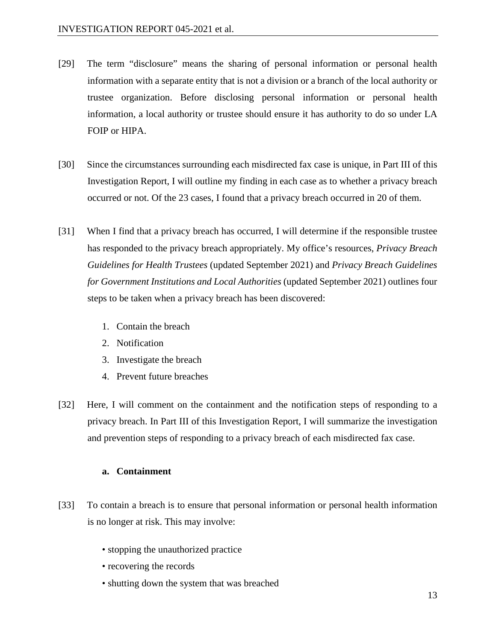- [29] The term "disclosure" means the sharing of personal information or personal health information with a separate entity that is not a division or a branch of the local authority or trustee organization. Before disclosing personal information or personal health information, a local authority or trustee should ensure it has authority to do so under LA FOIP or HIPA.
- [30] Since the circumstances surrounding each misdirected fax case is unique, in Part III of this Investigation Report, I will outline my finding in each case as to whether a privacy breach occurred or not. Of the 23 cases, I found that a privacy breach occurred in 20 of them.
- [31] When I find that a privacy breach has occurred, I will determine if the responsible trustee has responded to the privacy breach appropriately. My office's resources, *Privacy Breach Guidelines for Health Trustees* (updated September 2021) and *Privacy Breach Guidelines for Government Institutions and Local Authorities* (updated September 2021) outlines four steps to be taken when a privacy breach has been discovered:
	- 1. Contain the breach
	- 2. Notification
	- 3. Investigate the breach
	- 4. Prevent future breaches
- [32] Here, I will comment on the containment and the notification steps of responding to a privacy breach. In Part III of this Investigation Report, I will summarize the investigation and prevention steps of responding to a privacy breach of each misdirected fax case.

# **a. Containment**

- [33] To contain a breach is to ensure that personal information or personal health information is no longer at risk. This may involve:
	- stopping the unauthorized practice
	- recovering the records
	- shutting down the system that was breached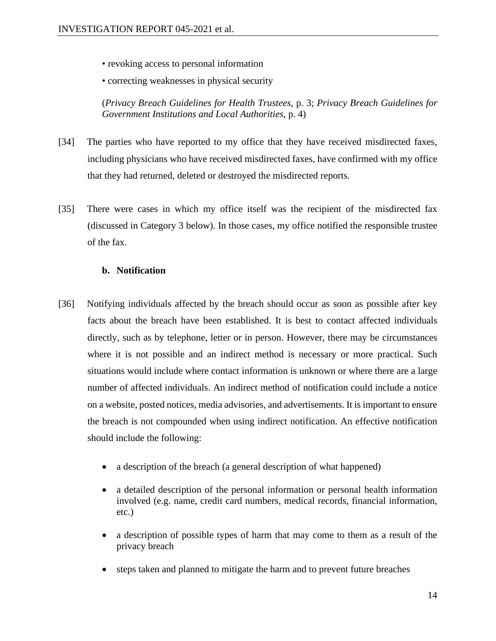• revoking access to personal information

• correcting weaknesses in physical security

(*Privacy Breach Guidelines for Health Trustees*, p. 3; *Privacy Breach Guidelines for Government Institutions and Local Authorities*, p. 4)

- [34] The parties who have reported to my office that they have received misdirected faxes, including physicians who have received misdirected faxes, have confirmed with my office that they had returned, deleted or destroyed the misdirected reports.
- [35] There were cases in which my office itself was the recipient of the misdirected fax (discussed in Category 3 below). In those cases, my office notified the responsible trustee of the fax.

### **b. Notification**

- [36] Notifying individuals affected by the breach should occur as soon as possible after key facts about the breach have been established. It is best to contact affected individuals directly, such as by telephone, letter or in person. However, there may be circumstances where it is not possible and an indirect method is necessary or more practical. Such situations would include where contact information is unknown or where there are a large number of affected individuals. An indirect method of notification could include a notice on a website, posted notices, media advisories, and advertisements. It is important to ensure the breach is not compounded when using indirect notification. An effective notification should include the following:
	- a description of the breach (a general description of what happened)
	- a detailed description of the personal information or personal health information involved (e.g. name, credit card numbers, medical records, financial information, etc.)
	- a description of possible types of harm that may come to them as a result of the privacy breach
	- steps taken and planned to mitigate the harm and to prevent future breaches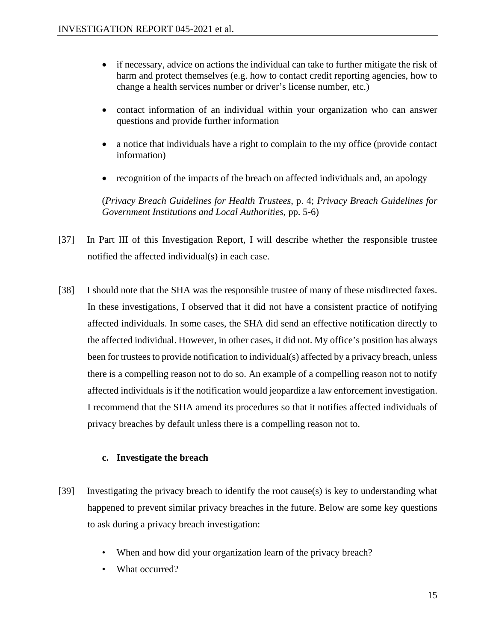- if necessary, advice on actions the individual can take to further mitigate the risk of harm and protect themselves (e.g. how to contact credit reporting agencies, how to change a health services number or driver's license number, etc.)
- contact information of an individual within your organization who can answer questions and provide further information
- a notice that individuals have a right to complain to the my office (provide contact information)
- recognition of the impacts of the breach on affected individuals and, an apology

(*Privacy Breach Guidelines for Health Trustees*, p. 4; *Privacy Breach Guidelines for Government Institutions and Local Authorities*, pp. 5-6)

- [37] In Part III of this Investigation Report, I will describe whether the responsible trustee notified the affected individual(s) in each case.
- [38] I should note that the SHA was the responsible trustee of many of these misdirected faxes. In these investigations, I observed that it did not have a consistent practice of notifying affected individuals. In some cases, the SHA did send an effective notification directly to the affected individual. However, in other cases, it did not. My office's position has always been for trustees to provide notification to individual(s) affected by a privacy breach, unless there is a compelling reason not to do so. An example of a compelling reason not to notify affected individuals is if the notification would jeopardize a law enforcement investigation. I recommend that the SHA amend its procedures so that it notifies affected individuals of privacy breaches by default unless there is a compelling reason not to.

# **c. Investigate the breach**

- [39] Investigating the privacy breach to identify the root cause(s) is key to understanding what happened to prevent similar privacy breaches in the future. Below are some key questions to ask during a privacy breach investigation:
	- When and how did your organization learn of the privacy breach?
	- What occurred?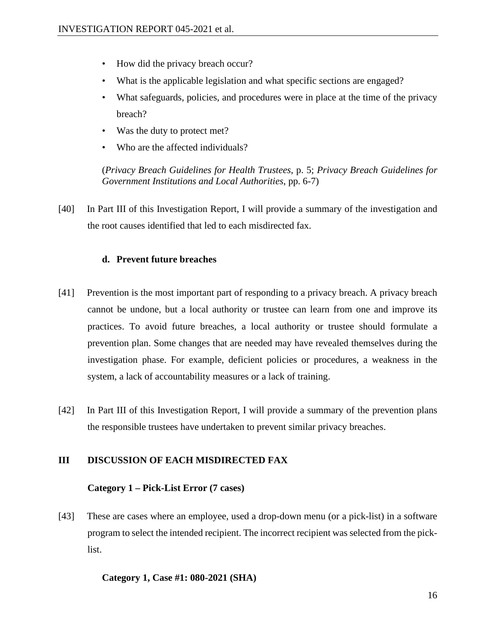- How did the privacy breach occur?
- What is the applicable legislation and what specific sections are engaged?
- What safeguards, policies, and procedures were in place at the time of the privacy breach?
- Was the duty to protect met?
- Who are the affected individuals?

(*Privacy Breach Guidelines for Health Trustees*, p. 5; *Privacy Breach Guidelines for Government Institutions and Local Authorities*, pp. 6-7)

[40] In Part III of this Investigation Report, I will provide a summary of the investigation and the root causes identified that led to each misdirected fax.

# **d. Prevent future breaches**

- [41] Prevention is the most important part of responding to a privacy breach. A privacy breach cannot be undone, but a local authority or trustee can learn from one and improve its practices. To avoid future breaches, a local authority or trustee should formulate a prevention plan. Some changes that are needed may have revealed themselves during the investigation phase. For example, deficient policies or procedures, a weakness in the system, a lack of accountability measures or a lack of training.
- [42] In Part III of this Investigation Report, I will provide a summary of the prevention plans the responsible trustees have undertaken to prevent similar privacy breaches.

# **III DISCUSSION OF EACH MISDIRECTED FAX**

# **Category 1 – Pick-List Error (7 cases)**

[43] These are cases where an employee, used a drop-down menu (or a pick-list) in a software program to select the intended recipient. The incorrect recipient was selected from the picklist.

#### **Category 1, Case #1: 080-2021 (SHA)**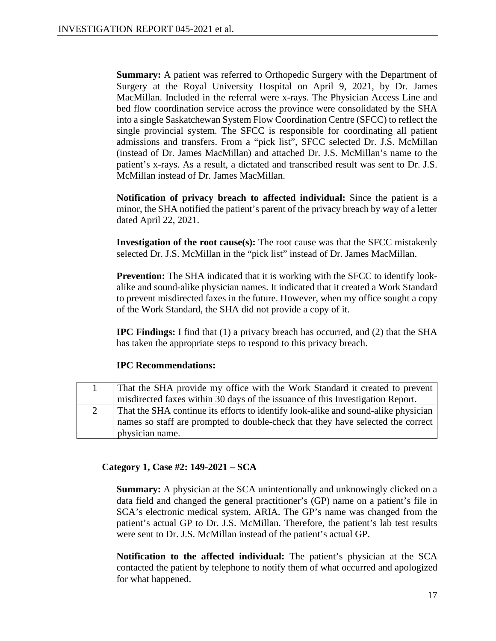**Summary:** A patient was referred to Orthopedic Surgery with the Department of Surgery at the Royal University Hospital on April 9, 2021, by Dr. James MacMillan. Included in the referral were x-rays. The Physician Access Line and bed flow coordination service across the province were consolidated by the SHA into a single Saskatchewan System Flow Coordination Centre (SFCC) to reflect the single provincial system. The SFCC is responsible for coordinating all patient admissions and transfers. From a "pick list", SFCC selected Dr. J.S. McMillan (instead of Dr. James MacMillan) and attached Dr. J.S. McMillan's name to the patient's x-rays. As a result, a dictated and transcribed result was sent to Dr. J.S. McMillan instead of Dr. James MacMillan.

**Notification of privacy breach to affected individual:** Since the patient is a minor, the SHA notified the patient's parent of the privacy breach by way of a letter dated April 22, 2021.

**Investigation of the root cause(s):** The root cause was that the SFCC mistakenly selected Dr. J.S. McMillan in the "pick list" instead of Dr. James MacMillan.

**Prevention:** The SHA indicated that it is working with the SFCC to identify lookalike and sound-alike physician names. It indicated that it created a Work Standard to prevent misdirected faxes in the future. However, when my office sought a copy of the Work Standard, the SHA did not provide a copy of it.

**IPC Findings:** I find that (1) a privacy breach has occurred, and (2) that the SHA has taken the appropriate steps to respond to this privacy breach.

# **IPC Recommendations:**

| That the SHA provide my office with the Work Standard it created to prevent        |
|------------------------------------------------------------------------------------|
| misdirected faxes within 30 days of the issuance of this Investigation Report.     |
| That the SHA continue its efforts to identify look-alike and sound-alike physician |
| names so staff are prompted to double-check that they have selected the correct    |
| physician name.                                                                    |

# **Category 1, Case #2: 149-2021 – SCA**

**Summary:** A physician at the SCA unintentionally and unknowingly clicked on a data field and changed the general practitioner's (GP) name on a patient's file in SCA's electronic medical system, ARIA. The GP's name was changed from the patient's actual GP to Dr. J.S. McMillan. Therefore, the patient's lab test results were sent to Dr. J.S. McMillan instead of the patient's actual GP.

**Notification to the affected individual:** The patient's physician at the SCA contacted the patient by telephone to notify them of what occurred and apologized for what happened.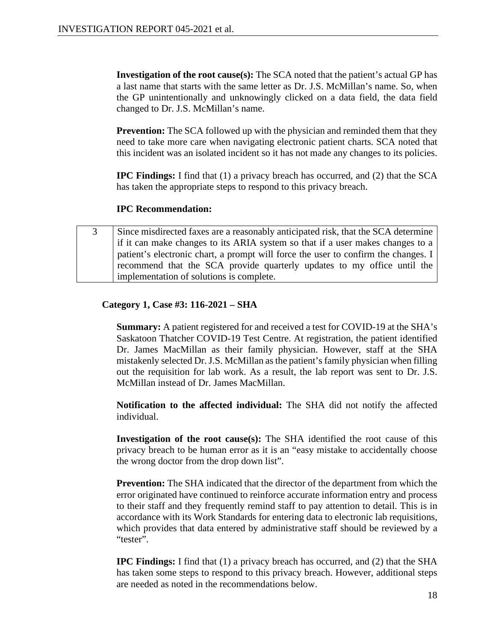**Investigation of the root cause(s):** The SCA noted that the patient's actual GP has a last name that starts with the same letter as Dr. J.S. McMillan's name. So, when the GP unintentionally and unknowingly clicked on a data field, the data field changed to Dr. J.S. McMillan's name.

**Prevention:** The SCA followed up with the physician and reminded them that they need to take more care when navigating electronic patient charts. SCA noted that this incident was an isolated incident so it has not made any changes to its policies.

**IPC Findings:** I find that (1) a privacy breach has occurred, and (2) that the SCA has taken the appropriate steps to respond to this privacy breach.

# **IPC Recommendation:**

3 Since misdirected faxes are a reasonably anticipated risk, that the SCA determine if it can make changes to its ARIA system so that if a user makes changes to a patient's electronic chart, a prompt will force the user to confirm the changes. I recommend that the SCA provide quarterly updates to my office until the implementation of solutions is complete.

# **Category 1, Case #3: 116-2021 – SHA**

**Summary:** A patient registered for and received a test for COVID-19 at the SHA's Saskatoon Thatcher COVID-19 Test Centre. At registration, the patient identified Dr. James MacMillan as their family physician. However, staff at the SHA mistakenly selected Dr. J.S. McMillan as the patient's family physician when filling out the requisition for lab work. As a result, the lab report was sent to Dr. J.S. McMillan instead of Dr. James MacMillan.

**Notification to the affected individual:** The SHA did not notify the affected individual.

**Investigation of the root cause(s):** The SHA identified the root cause of this privacy breach to be human error as it is an "easy mistake to accidentally choose the wrong doctor from the drop down list".

**Prevention:** The SHA indicated that the director of the department from which the error originated have continued to reinforce accurate information entry and process to their staff and they frequently remind staff to pay attention to detail. This is in accordance with its Work Standards for entering data to electronic lab requisitions, which provides that data entered by administrative staff should be reviewed by a "tester".

**IPC Findings:** I find that (1) a privacy breach has occurred, and (2) that the SHA has taken some steps to respond to this privacy breach. However, additional steps are needed as noted in the recommendations below.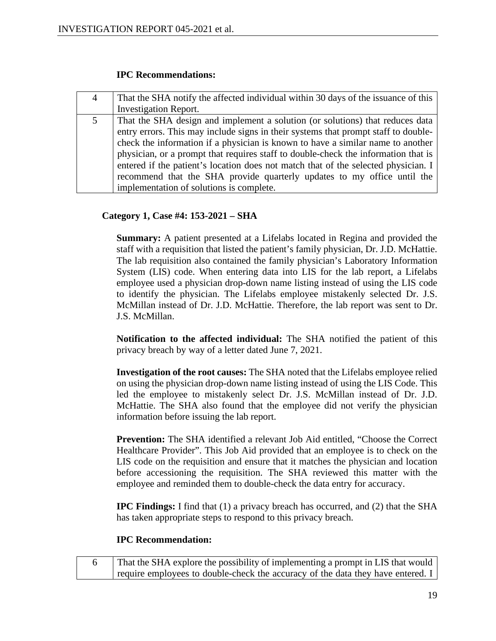### **IPC Recommendations:**

| 4 | That the SHA notify the affected individual within 30 days of the issuance of this |
|---|------------------------------------------------------------------------------------|
|   | <b>Investigation Report.</b>                                                       |
|   | That the SHA design and implement a solution (or solutions) that reduces data      |
|   | entry errors. This may include signs in their systems that prompt staff to double- |
|   | check the information if a physician is known to have a similar name to another    |
|   | physician, or a prompt that requires staff to double-check the information that is |
|   | entered if the patient's location does not match that of the selected physician. I |
|   | recommend that the SHA provide quarterly updates to my office until the            |
|   | implementation of solutions is complete.                                           |

# **Category 1, Case #4: 153-2021 – SHA**

**Summary:** A patient presented at a Lifelabs located in Regina and provided the staff with a requisition that listed the patient's family physician, Dr. J.D. McHattie. The lab requisition also contained the family physician's Laboratory Information System (LIS) code. When entering data into LIS for the lab report, a Lifelabs employee used a physician drop-down name listing instead of using the LIS code to identify the physician. The Lifelabs employee mistakenly selected Dr. J.S. McMillan instead of Dr. J.D. McHattie. Therefore, the lab report was sent to Dr. J.S. McMillan.

**Notification to the affected individual:** The SHA notified the patient of this privacy breach by way of a letter dated June 7, 2021.

**Investigation of the root causes:** The SHA noted that the Lifelabs employee relied on using the physician drop-down name listing instead of using the LIS Code. This led the employee to mistakenly select Dr. J.S. McMillan instead of Dr. J.D. McHattie. The SHA also found that the employee did not verify the physician information before issuing the lab report.

**Prevention:** The SHA identified a relevant Job Aid entitled, "Choose the Correct Healthcare Provider". This Job Aid provided that an employee is to check on the LIS code on the requisition and ensure that it matches the physician and location before accessioning the requisition. The SHA reviewed this matter with the employee and reminded them to double-check the data entry for accuracy.

**IPC Findings:** I find that (1) a privacy breach has occurred, and (2) that the SHA has taken appropriate steps to respond to this privacy breach.

#### **IPC Recommendation:**

| That the SHA explore the possibility of implementing a prompt in LIS that would |
|---------------------------------------------------------------------------------|
| require employees to double-check the accuracy of the data they have entered. I |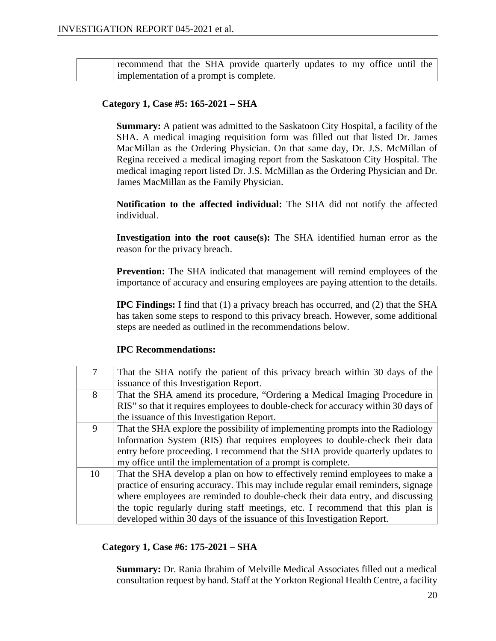recommend that the SHA provide quarterly updates to my office until the implementation of a prompt is complete.

# **Category 1, Case #5: 165-2021 – SHA**

**Summary:** A patient was admitted to the Saskatoon City Hospital, a facility of the SHA. A medical imaging requisition form was filled out that listed Dr. James MacMillan as the Ordering Physician. On that same day, Dr. J.S. McMillan of Regina received a medical imaging report from the Saskatoon City Hospital. The medical imaging report listed Dr. J.S. McMillan as the Ordering Physician and Dr. James MacMillan as the Family Physician.

**Notification to the affected individual:** The SHA did not notify the affected individual.

**Investigation into the root cause(s):** The SHA identified human error as the reason for the privacy breach.

**Prevention:** The SHA indicated that management will remind employees of the importance of accuracy and ensuring employees are paying attention to the details.

**IPC Findings:** I find that (1) a privacy breach has occurred, and (2) that the SHA has taken some steps to respond to this privacy breach. However, some additional steps are needed as outlined in the recommendations below.

#### **IPC Recommendations:**

| $\tau$ | That the SHA notify the patient of this privacy breach within 30 days of the      |
|--------|-----------------------------------------------------------------------------------|
|        | issuance of this Investigation Report.                                            |
| 8      | That the SHA amend its procedure, "Ordering a Medical Imaging Procedure in        |
|        | RIS" so that it requires employees to double-check for accuracy within 30 days of |
|        | the issuance of this Investigation Report.                                        |
| 9      | That the SHA explore the possibility of implementing prompts into the Radiology   |
|        | Information System (RIS) that requires employees to double-check their data       |
|        | entry before proceeding. I recommend that the SHA provide quarterly updates to    |
|        | my office until the implementation of a prompt is complete.                       |
| 10     | That the SHA develop a plan on how to effectively remind employees to make a      |
|        | practice of ensuring accuracy. This may include regular email reminders, signage  |
|        | where employees are reminded to double-check their data entry, and discussing     |
|        | the topic regularly during staff meetings, etc. I recommend that this plan is     |
|        | developed within 30 days of the issuance of this Investigation Report.            |

### **Category 1, Case #6: 175-2021 – SHA**

**Summary:** Dr. Rania Ibrahim of Melville Medical Associates filled out a medical consultation request by hand. Staff at the Yorkton Regional Health Centre, a facility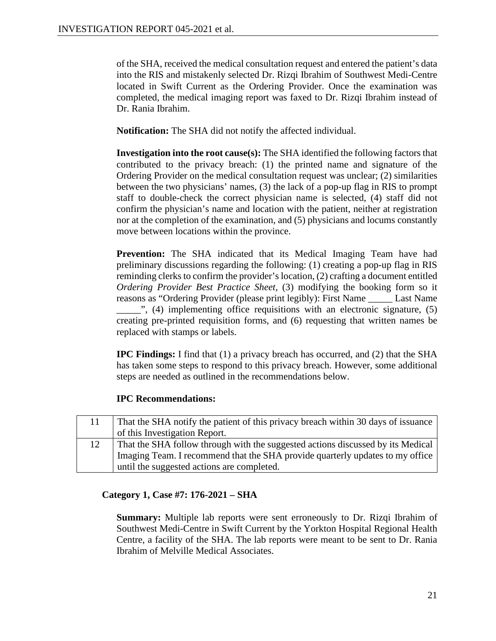of the SHA, received the medical consultation request and entered the patient's data into the RIS and mistakenly selected Dr. Rizqi Ibrahim of Southwest Medi-Centre located in Swift Current as the Ordering Provider. Once the examination was completed, the medical imaging report was faxed to Dr. Rizqi Ibrahim instead of Dr. Rania Ibrahim.

**Notification:** The SHA did not notify the affected individual.

**Investigation into the root cause(s):** The SHA identified the following factors that contributed to the privacy breach: (1) the printed name and signature of the Ordering Provider on the medical consultation request was unclear; (2) similarities between the two physicians' names, (3) the lack of a pop-up flag in RIS to prompt staff to double-check the correct physician name is selected, (4) staff did not confirm the physician's name and location with the patient, neither at registration nor at the completion of the examination, and (5) physicians and locums constantly move between locations within the province.

**Prevention:** The SHA indicated that its Medical Imaging Team have had preliminary discussions regarding the following: (1) creating a pop-up flag in RIS reminding clerks to confirm the provider's location, (2) crafting a document entitled *Ordering Provider Best Practice Sheet*, (3) modifying the booking form so it reasons as "Ordering Provider (please print legibly): First Name \_\_\_\_\_ Last Name  $\cdot$ , (4) implementing office requisitions with an electronic signature, (5) creating pre-printed requisition forms, and (6) requesting that written names be replaced with stamps or labels.

**IPC Findings:** I find that (1) a privacy breach has occurred, and (2) that the SHA has taken some steps to respond to this privacy breach. However, some additional steps are needed as outlined in the recommendations below.

# **IPC Recommendations:**

| 11 | That the SHA notify the patient of this privacy breach within 30 days of issuance |
|----|-----------------------------------------------------------------------------------|
|    | of this Investigation Report.                                                     |
| 12 | That the SHA follow through with the suggested actions discussed by its Medical   |
|    | Imaging Team. I recommend that the SHA provide quarterly updates to my office     |
|    | until the suggested actions are completed.                                        |

# **Category 1, Case #7: 176-2021 – SHA**

**Summary:** Multiple lab reports were sent erroneously to Dr. Rizqi Ibrahim of Southwest Medi-Centre in Swift Current by the Yorkton Hospital Regional Health Centre, a facility of the SHA. The lab reports were meant to be sent to Dr. Rania Ibrahim of Melville Medical Associates.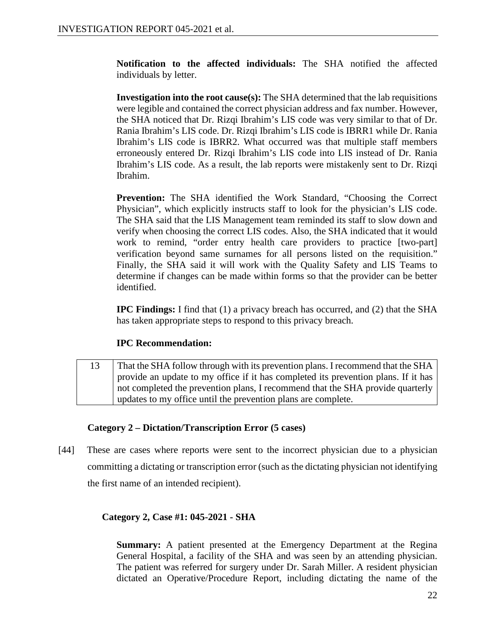**Notification to the affected individuals:** The SHA notified the affected individuals by letter.

**Investigation into the root cause(s):** The SHA determined that the lab requisitions were legible and contained the correct physician address and fax number. However, the SHA noticed that Dr. Rizqi Ibrahim's LIS code was very similar to that of Dr. Rania Ibrahim's LIS code. Dr. Rizqi Ibrahim's LIS code is IBRR1 while Dr. Rania Ibrahim's LIS code is IBRR2. What occurred was that multiple staff members erroneously entered Dr. Rizqi Ibrahim's LIS code into LIS instead of Dr. Rania Ibrahim's LIS code. As a result, the lab reports were mistakenly sent to Dr. Rizqi Ibrahim.

**Prevention:** The SHA identified the Work Standard, "Choosing the Correct Physician", which explicitly instructs staff to look for the physician's LIS code. The SHA said that the LIS Management team reminded its staff to slow down and verify when choosing the correct LIS codes. Also, the SHA indicated that it would work to remind, "order entry health care providers to practice [two-part] verification beyond same surnames for all persons listed on the requisition." Finally, the SHA said it will work with the Quality Safety and LIS Teams to determine if changes can be made within forms so that the provider can be better identified.

**IPC Findings:** I find that (1) a privacy breach has occurred, and (2) that the SHA has taken appropriate steps to respond to this privacy breach.

# **IPC Recommendation:**

13 That the SHA follow through with its prevention plans. I recommend that the SHA provide an update to my office if it has completed its prevention plans. If it has not completed the prevention plans, I recommend that the SHA provide quarterly updates to my office until the prevention plans are complete.

# **Category 2 – Dictation/Transcription Error (5 cases)**

[44] These are cases where reports were sent to the incorrect physician due to a physician committing a dictating or transcription error (such as the dictating physician not identifying the first name of an intended recipient).

# **Category 2, Case #1: 045-2021 - SHA**

**Summary:** A patient presented at the Emergency Department at the Regina General Hospital, a facility of the SHA and was seen by an attending physician. The patient was referred for surgery under Dr. Sarah Miller. A resident physician dictated an Operative/Procedure Report, including dictating the name of the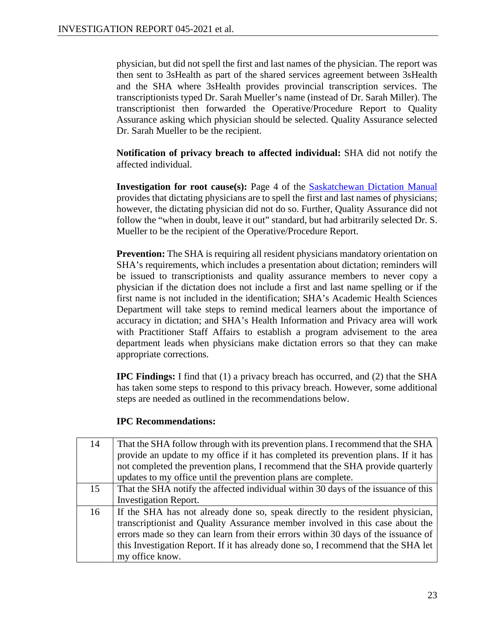physician, but did not spell the first and last names of the physician. The report was then sent to 3sHealth as part of the shared services agreement between 3sHealth and the SHA where 3sHealth provides provincial transcription services. The transcriptionists typed Dr. Sarah Mueller's name (instead of Dr. Sarah Miller). The transcriptionist then forwarded the Operative/Procedure Report to Quality Assurance asking which physician should be selected. Quality Assurance selected Dr. Sarah Mueller to be the recipient.

**Notification of privacy breach to affected individual:** SHA did not notify the affected individual.

**Investigation for root cause(s):** Page 4 of the **Saskatchewan Dictation Manual** provides that dictating physicians are to spell the first and last names of physicians; however, the dictating physician did not do so. Further, Quality Assurance did not follow the "when in doubt, leave it out" standard, but had arbitrarily selected Dr. S. Mueller to be the recipient of the Operative/Procedure Report.

**Prevention:** The SHA is requiring all resident physicians mandatory orientation on SHA's requirements, which includes a presentation about dictation; reminders will be issued to transcriptionists and quality assurance members to never copy a physician if the dictation does not include a first and last name spelling or if the first name is not included in the identification; SHA's Academic Health Sciences Department will take steps to remind medical learners about the importance of accuracy in dictation; and SHA's Health Information and Privacy area will work with Practitioner Staff Affairs to establish a program advisement to the area department leads when physicians make dictation errors so that they can make appropriate corrections.

**IPC Findings:** I find that (1) a privacy breach has occurred, and (2) that the SHA has taken some steps to respond to this privacy breach. However, some additional steps are needed as outlined in the recommendations below.

# **IPC Recommendations:**

| 14 | That the SHA follow through with its prevention plans. I recommend that the SHA    |
|----|------------------------------------------------------------------------------------|
|    | provide an update to my office if it has completed its prevention plans. If it has |
|    | not completed the prevention plans, I recommend that the SHA provide quarterly     |
|    | updates to my office until the prevention plans are complete.                      |
| 15 | That the SHA notify the affected individual within 30 days of the issuance of this |
|    | <b>Investigation Report.</b>                                                       |
| 16 | If the SHA has not already done so, speak directly to the resident physician,      |
|    | transcriptionist and Quality Assurance member involved in this case about the      |
|    | errors made so they can learn from their errors within 30 days of the issuance of  |
|    | this Investigation Report. If it has already done so, I recommend that the SHA let |
|    | my office know.                                                                    |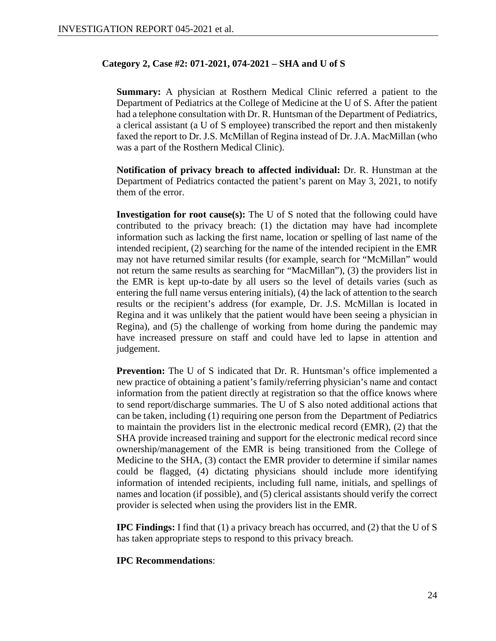#### **Category 2, Case #2: 071-2021, 074-2021 – SHA and U of S**

**Summary:** A physician at Rosthern Medical Clinic referred a patient to the Department of Pediatrics at the College of Medicine at the U of S. After the patient had a telephone consultation with Dr. R. Huntsman of the Department of Pediatrics, a clerical assistant (a U of S employee) transcribed the report and then mistakenly faxed the report to Dr. J.S. McMillan of Regina instead of Dr. J.A. MacMillan (who was a part of the Rosthern Medical Clinic).

**Notification of privacy breach to affected individual:** Dr. R. Hunstman at the Department of Pediatrics contacted the patient's parent on May 3, 2021, to notify them of the error.

**Investigation for root cause(s):** The U of S noted that the following could have contributed to the privacy breach: (1) the dictation may have had incomplete information such as lacking the first name, location or spelling of last name of the intended recipient, (2) searching for the name of the intended recipient in the EMR may not have returned similar results (for example, search for "McMillan" would not return the same results as searching for "MacMillan"), (3) the providers list in the EMR is kept up-to-date by all users so the level of details varies (such as entering the full name versus entering initials), (4) the lack of attention to the search results or the recipient's address (for example, Dr. J.S. McMillan is located in Regina and it was unlikely that the patient would have been seeing a physician in Regina), and (5) the challenge of working from home during the pandemic may have increased pressure on staff and could have led to lapse in attention and judgement.

**Prevention:** The U of S indicated that Dr. R. Huntsman's office implemented a new practice of obtaining a patient's family/referring physician's name and contact information from the patient directly at registration so that the office knows where to send report/discharge summaries. The U of S also noted additional actions that can be taken, including (1) requiring one person from the Department of Pediatrics to maintain the providers list in the electronic medical record (EMR), (2) that the SHA provide increased training and support for the electronic medical record since ownership/management of the EMR is being transitioned from the College of Medicine to the SHA, (3) contact the EMR provider to determine if similar names could be flagged, (4) dictating physicians should include more identifying information of intended recipients, including full name, initials, and spellings of names and location (if possible), and (5) clerical assistants should verify the correct provider is selected when using the providers list in the EMR.

**IPC Findings:** I find that (1) a privacy breach has occurred, and (2) that the U of S has taken appropriate steps to respond to this privacy breach.

### **IPC Recommendations**: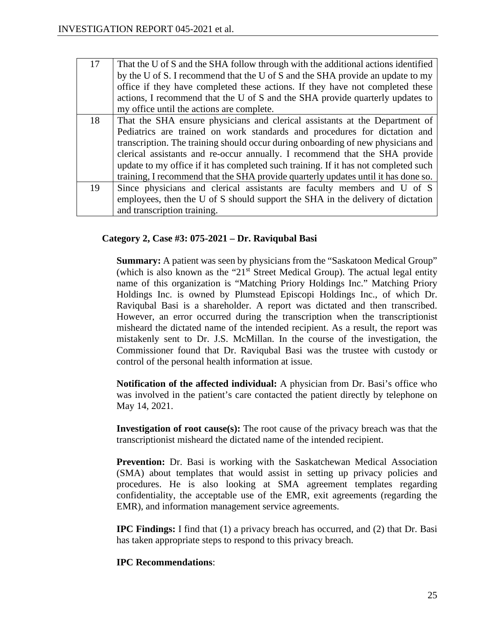| 17 | That the U of S and the SHA follow through with the additional actions identified   |
|----|-------------------------------------------------------------------------------------|
|    | by the U of S. I recommend that the U of S and the SHA provide an update to my      |
|    | office if they have completed these actions. If they have not completed these       |
|    | actions, I recommend that the U of S and the SHA provide quarterly updates to       |
|    | my office until the actions are complete.                                           |
| 18 | That the SHA ensure physicians and clerical assistants at the Department of         |
|    | Pediatrics are trained on work standards and procedures for dictation and           |
|    | transcription. The training should occur during onboarding of new physicians and    |
|    | clerical assistants and re-occur annually. I recommend that the SHA provide         |
|    | update to my office if it has completed such training. If it has not completed such |
|    | training, I recommend that the SHA provide quarterly updates until it has done so.  |
| 19 | Since physicians and clerical assistants are faculty members and U of S             |
|    | employees, then the U of S should support the SHA in the delivery of dictation      |
|    | and transcription training.                                                         |

# **Category 2, Case #3: 075-2021 – Dr. Raviqubal Basi**

**Summary:** A patient was seen by physicians from the "Saskatoon Medical Group" (which is also known as the " $21<sup>st</sup>$  Street Medical Group). The actual legal entity name of this organization is "Matching Priory Holdings Inc." Matching Priory Holdings Inc. is owned by Plumstead Episcopi Holdings Inc., of which Dr. Raviqubal Basi is a shareholder. A report was dictated and then transcribed. However, an error occurred during the transcription when the transcriptionist misheard the dictated name of the intended recipient. As a result, the report was mistakenly sent to Dr. J.S. McMillan. In the course of the investigation, the Commissioner found that Dr. Raviqubal Basi was the trustee with custody or control of the personal health information at issue.

**Notification of the affected individual:** A physician from Dr. Basi's office who was involved in the patient's care contacted the patient directly by telephone on May 14, 2021.

**Investigation of root cause(s):** The root cause of the privacy breach was that the transcriptionist misheard the dictated name of the intended recipient.

**Prevention:** Dr. Basi is working with the Saskatchewan Medical Association (SMA) about templates that would assist in setting up privacy policies and procedures. He is also looking at SMA agreement templates regarding confidentiality, the acceptable use of the EMR, exit agreements (regarding the EMR), and information management service agreements.

**IPC Findings:** I find that (1) a privacy breach has occurred, and (2) that Dr. Basi has taken appropriate steps to respond to this privacy breach.

# **IPC Recommendations**: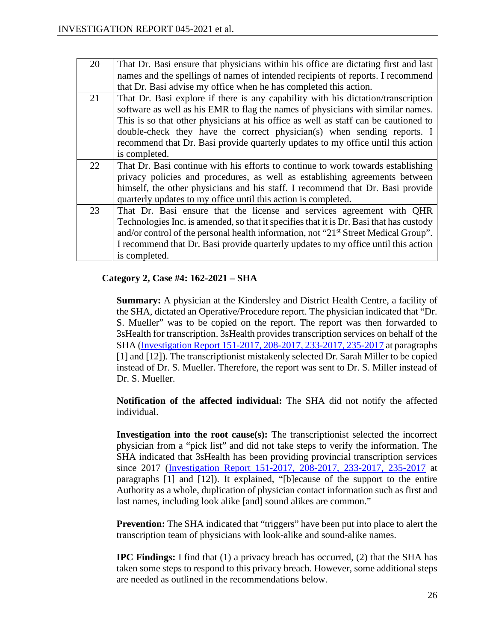| 20<br>That Dr. Basi ensure that physicians within his office are dictating first and last<br>names and the spellings of names of intended recipients of reports. I recommend<br>that Dr. Basi advise my office when he has completed this action.<br>21<br>That Dr. Basi explore if there is any capability with his dictation/transcription<br>software as well as his EMR to flag the names of physicians with similar names.<br>This is so that other physicians at his office as well as staff can be cautioned to<br>double-check they have the correct physician(s) when sending reports. I<br>recommend that Dr. Basi provide quarterly updates to my office until this action<br>is completed.<br>22<br>That Dr. Basi continue with his efforts to continue to work towards establishing<br>privacy policies and procedures, as well as establishing agreements between<br>himself, the other physicians and his staff. I recommend that Dr. Basi provide<br>quarterly updates to my office until this action is completed.<br>23<br>That Dr. Basi ensure that the license and services agreement with QHR<br>Technologies Inc. is amended, so that it specifies that it is Dr. Basi that has custody<br>and/or control of the personal health information, not "21 <sup>st</sup> Street Medical Group".<br>I recommend that Dr. Basi provide quarterly updates to my office until this action<br>is completed. |  |
|-------------------------------------------------------------------------------------------------------------------------------------------------------------------------------------------------------------------------------------------------------------------------------------------------------------------------------------------------------------------------------------------------------------------------------------------------------------------------------------------------------------------------------------------------------------------------------------------------------------------------------------------------------------------------------------------------------------------------------------------------------------------------------------------------------------------------------------------------------------------------------------------------------------------------------------------------------------------------------------------------------------------------------------------------------------------------------------------------------------------------------------------------------------------------------------------------------------------------------------------------------------------------------------------------------------------------------------------------------------------------------------------------------------------------|--|
|                                                                                                                                                                                                                                                                                                                                                                                                                                                                                                                                                                                                                                                                                                                                                                                                                                                                                                                                                                                                                                                                                                                                                                                                                                                                                                                                                                                                                         |  |
|                                                                                                                                                                                                                                                                                                                                                                                                                                                                                                                                                                                                                                                                                                                                                                                                                                                                                                                                                                                                                                                                                                                                                                                                                                                                                                                                                                                                                         |  |
|                                                                                                                                                                                                                                                                                                                                                                                                                                                                                                                                                                                                                                                                                                                                                                                                                                                                                                                                                                                                                                                                                                                                                                                                                                                                                                                                                                                                                         |  |
|                                                                                                                                                                                                                                                                                                                                                                                                                                                                                                                                                                                                                                                                                                                                                                                                                                                                                                                                                                                                                                                                                                                                                                                                                                                                                                                                                                                                                         |  |
|                                                                                                                                                                                                                                                                                                                                                                                                                                                                                                                                                                                                                                                                                                                                                                                                                                                                                                                                                                                                                                                                                                                                                                                                                                                                                                                                                                                                                         |  |
|                                                                                                                                                                                                                                                                                                                                                                                                                                                                                                                                                                                                                                                                                                                                                                                                                                                                                                                                                                                                                                                                                                                                                                                                                                                                                                                                                                                                                         |  |
|                                                                                                                                                                                                                                                                                                                                                                                                                                                                                                                                                                                                                                                                                                                                                                                                                                                                                                                                                                                                                                                                                                                                                                                                                                                                                                                                                                                                                         |  |
|                                                                                                                                                                                                                                                                                                                                                                                                                                                                                                                                                                                                                                                                                                                                                                                                                                                                                                                                                                                                                                                                                                                                                                                                                                                                                                                                                                                                                         |  |
|                                                                                                                                                                                                                                                                                                                                                                                                                                                                                                                                                                                                                                                                                                                                                                                                                                                                                                                                                                                                                                                                                                                                                                                                                                                                                                                                                                                                                         |  |
|                                                                                                                                                                                                                                                                                                                                                                                                                                                                                                                                                                                                                                                                                                                                                                                                                                                                                                                                                                                                                                                                                                                                                                                                                                                                                                                                                                                                                         |  |
|                                                                                                                                                                                                                                                                                                                                                                                                                                                                                                                                                                                                                                                                                                                                                                                                                                                                                                                                                                                                                                                                                                                                                                                                                                                                                                                                                                                                                         |  |
|                                                                                                                                                                                                                                                                                                                                                                                                                                                                                                                                                                                                                                                                                                                                                                                                                                                                                                                                                                                                                                                                                                                                                                                                                                                                                                                                                                                                                         |  |
|                                                                                                                                                                                                                                                                                                                                                                                                                                                                                                                                                                                                                                                                                                                                                                                                                                                                                                                                                                                                                                                                                                                                                                                                                                                                                                                                                                                                                         |  |
|                                                                                                                                                                                                                                                                                                                                                                                                                                                                                                                                                                                                                                                                                                                                                                                                                                                                                                                                                                                                                                                                                                                                                                                                                                                                                                                                                                                                                         |  |
|                                                                                                                                                                                                                                                                                                                                                                                                                                                                                                                                                                                                                                                                                                                                                                                                                                                                                                                                                                                                                                                                                                                                                                                                                                                                                                                                                                                                                         |  |
|                                                                                                                                                                                                                                                                                                                                                                                                                                                                                                                                                                                                                                                                                                                                                                                                                                                                                                                                                                                                                                                                                                                                                                                                                                                                                                                                                                                                                         |  |
|                                                                                                                                                                                                                                                                                                                                                                                                                                                                                                                                                                                                                                                                                                                                                                                                                                                                                                                                                                                                                                                                                                                                                                                                                                                                                                                                                                                                                         |  |
|                                                                                                                                                                                                                                                                                                                                                                                                                                                                                                                                                                                                                                                                                                                                                                                                                                                                                                                                                                                                                                                                                                                                                                                                                                                                                                                                                                                                                         |  |

# **Category 2, Case #4: 162-2021 – SHA**

**Summary:** A physician at the Kindersley and District Health Centre, a facility of the SHA, dictated an Operative/Procedure report. The physician indicated that "Dr. S. Mueller" was to be copied on the report. The report was then forwarded to 3sHealth for transcription. 3sHealth provides transcription services on behalf of the SHA [\(Investigation Report 151-2017, 208-2017, 233-2017, 235-2017](https://oipc.sk.ca/assets/hipa-investigation-151-2017-208-2017-233-2017-and-235-2017.pdf) at paragraphs [1] and [12]). The transcriptionist mistakenly selected Dr. Sarah Miller to be copied instead of Dr. S. Mueller. Therefore, the report was sent to Dr. S. Miller instead of Dr. S. Mueller.

**Notification of the affected individual:** The SHA did not notify the affected individual.

**Investigation into the root cause(s):** The transcriptionist selected the incorrect physician from a "pick list" and did not take steps to verify the information. The SHA indicated that 3sHealth has been providing provincial transcription services since 2017 [\(Investigation Report 151-2017, 208-2017, 233-2017, 235-2017](https://oipc.sk.ca/assets/hipa-investigation-151-2017-208-2017-233-2017-and-235-2017.pdf) at paragraphs [1] and [12]). It explained, "[b]ecause of the support to the entire Authority as a whole, duplication of physician contact information such as first and last names, including look alike [and] sound alikes are common."

**Prevention:** The SHA indicated that "triggers" have been put into place to alert the transcription team of physicians with look-alike and sound-alike names.

**IPC Findings:** I find that (1) a privacy breach has occurred, (2) that the SHA has taken some steps to respond to this privacy breach. However, some additional steps are needed as outlined in the recommendations below.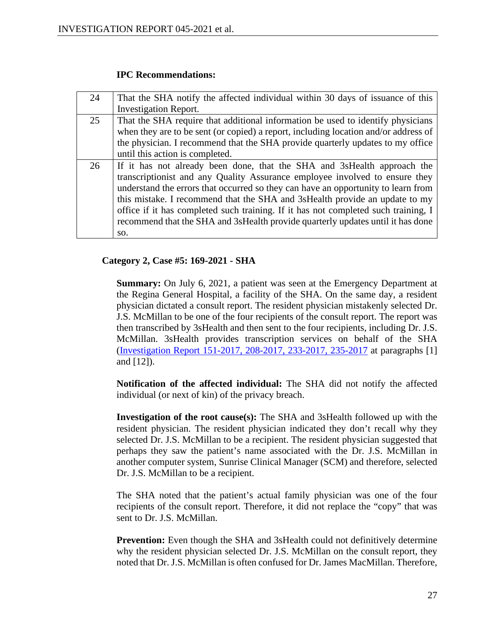### **IPC Recommendations:**

| 24 | That the SHA notify the affected individual within 30 days of issuance of this<br><b>Investigation Report.</b>                                                                                                                                                                                                                                                                                                                                                                                             |
|----|------------------------------------------------------------------------------------------------------------------------------------------------------------------------------------------------------------------------------------------------------------------------------------------------------------------------------------------------------------------------------------------------------------------------------------------------------------------------------------------------------------|
| 25 | That the SHA require that additional information be used to identify physicians<br>when they are to be sent (or copied) a report, including location and/or address of<br>the physician. I recommend that the SHA provide quarterly updates to my office<br>until this action is completed.                                                                                                                                                                                                                |
| 26 | If it has not already been done, that the SHA and 3sHealth approach the<br>transcriptionist and any Quality Assurance employee involved to ensure they<br>understand the errors that occurred so they can have an opportunity to learn from<br>this mistake. I recommend that the SHA and 3sHealth provide an update to my<br>office if it has completed such training. If it has not completed such training, I<br>recommend that the SHA and 3sHealth provide quarterly updates until it has done<br>SO. |

# **Category 2, Case #5: 169-2021 - SHA**

**Summary:** On July 6, 2021, a patient was seen at the Emergency Department at the Regina General Hospital, a facility of the SHA. On the same day, a resident physician dictated a consult report. The resident physician mistakenly selected Dr. J.S. McMillan to be one of the four recipients of the consult report. The report was then transcribed by 3sHealth and then sent to the four recipients, including Dr. J.S. McMillan. 3sHealth provides transcription services on behalf of the SHA [\(Investigation Report 151-2017, 208-2017, 233-2017, 235-2017](https://oipc.sk.ca/assets/hipa-investigation-151-2017-208-2017-233-2017-and-235-2017.pdf) at paragraphs [1] and [12]).

**Notification of the affected individual:** The SHA did not notify the affected individual (or next of kin) of the privacy breach.

**Investigation of the root cause(s):** The SHA and 3sHealth followed up with the resident physician. The resident physician indicated they don't recall why they selected Dr. J.S. McMillan to be a recipient. The resident physician suggested that perhaps they saw the patient's name associated with the Dr. J.S. McMillan in another computer system, Sunrise Clinical Manager (SCM) and therefore, selected Dr. J.S. McMillan to be a recipient.

The SHA noted that the patient's actual family physician was one of the four recipients of the consult report. Therefore, it did not replace the "copy" that was sent to Dr. J.S. McMillan.

**Prevention:** Even though the SHA and 3sHealth could not definitively determine why the resident physician selected Dr. J.S. McMillan on the consult report, they noted that Dr. J.S. McMillan is often confused for Dr. James MacMillan. Therefore,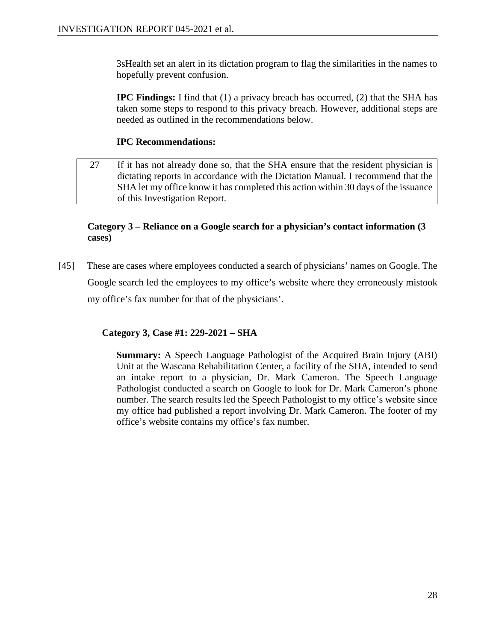3sHealth set an alert in its dictation program to flag the similarities in the names to hopefully prevent confusion.

**IPC Findings:** I find that (1) a privacy breach has occurred, (2) that the SHA has taken some steps to respond to this privacy breach. However, additional steps are needed as outlined in the recommendations below.

# **IPC Recommendations:**

27 If it has not already done so, that the SHA ensure that the resident physician is dictating reports in accordance with the Dictation Manual. I recommend that the SHA let my office know it has completed this action within 30 days of the issuance of this Investigation Report.

# **Category 3 – Reliance on a Google search for a physician's contact information (3 cases)**

[45] These are cases where employees conducted a search of physicians' names on Google. The Google search led the employees to my office's website where they erroneously mistook my office's fax number for that of the physicians'.

**Category 3, Case #1: 229-2021 – SHA**

**Summary:** A Speech Language Pathologist of the Acquired Brain Injury (ABI) Unit at the Wascana Rehabilitation Center, a facility of the SHA, intended to send an intake report to a physician, Dr. Mark Cameron. The Speech Language Pathologist conducted a search on Google to look for Dr. Mark Cameron's phone number. The search results led the Speech Pathologist to my office's website since my office had published a report involving Dr. Mark Cameron. The footer of my office's website contains my office's fax number.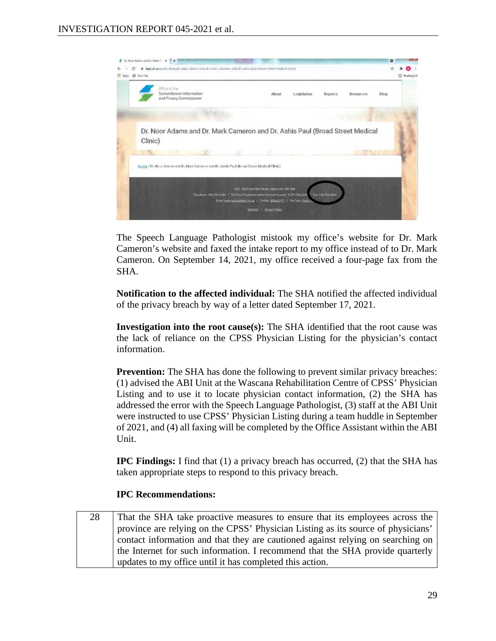

The Speech Language Pathologist mistook my office's website for Dr. Mark Cameron's website and faxed the intake report to my office instead of to Dr. Mark Cameron. On September 14, 2021, my office received a four-page fax from the SHA.

**Notification to the affected individual:** The SHA notified the affected individual of the privacy breach by way of a letter dated September 17, 2021.

**Investigation into the root cause(s):** The SHA identified that the root cause was the lack of reliance on the CPSS Physician Listing for the physician's contact information.

**Prevention:** The SHA has done the following to prevent similar privacy breaches: (1) advised the ABI Unit at the Wascana Rehabilitation Centre of CPSS' Physician Listing and to use it to locate physician contact information, (2) the SHA has addressed the error with the Speech Language Pathologist, (3) staff at the ABI Unit were instructed to use CPSS' Physician Listing during a team huddle in September of 2021, and (4) all faxing will be completed by the Office Assistant within the ABI Unit.

**IPC Findings:** I find that (1) a privacy breach has occurred, (2) that the SHA has taken appropriate steps to respond to this privacy breach.

# **IPC Recommendations:**

28 That the SHA take proactive measures to ensure that its employees across the province are relying on the CPSS' Physician Listing as its source of physicians' contact information and that they are cautioned against relying on searching on the Internet for such information. I recommend that the SHA provide quarterly updates to my office until it has completed this action.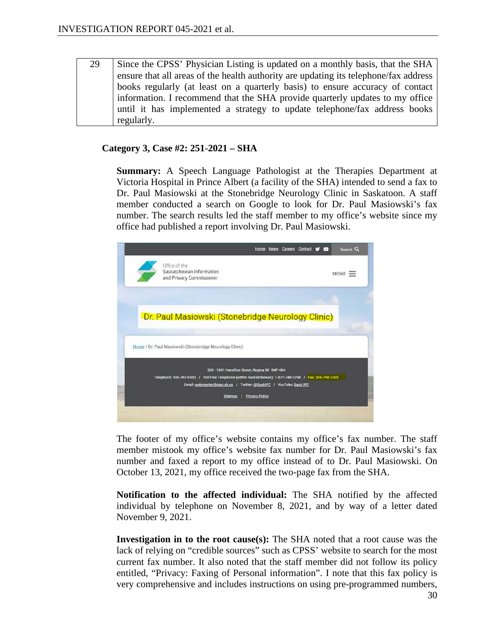29 Since the CPSS' Physician Listing is updated on a monthly basis, that the SHA ensure that all areas of the health authority are updating its telephone/fax address books regularly (at least on a quarterly basis) to ensure accuracy of contact information. I recommend that the SHA provide quarterly updates to my office until it has implemented a strategy to update telephone/fax address books regularly.

# **Category 3, Case #2: 251-2021 – SHA**

**Summary:** A Speech Language Pathologist at the Therapies Department at Victoria Hospital in Prince Albert (a facility of the SHA) intended to send a fax to Dr. Paul Masiowski at the Stonebridge Neurology Clinic in Saskatoon. A staff member conducted a search on Google to look for Dr. Paul Masiowski's fax number. The search results led the staff member to my office's website since my office had published a report involving Dr. Paul Masiowski.



The footer of my office's website contains my office's fax number. The staff member mistook my office's website fax number for Dr. Paul Masiowski's fax number and faxed a report to my office instead of to Dr. Paul Masiowski. On October 13, 2021, my office received the two-page fax from the SHA.

**Notification to the affected individual:** The SHA notified by the affected individual by telephone on November 8, 2021, and by way of a letter dated November 9, 2021.

**Investigation in to the root cause(s):** The SHA noted that a root cause was the lack of relying on "credible sources" such as CPSS' website to search for the most current fax number. It also noted that the staff member did not follow its policy entitled, "Privacy: Faxing of Personal information". I note that this fax policy is very comprehensive and includes instructions on using pre-programmed numbers,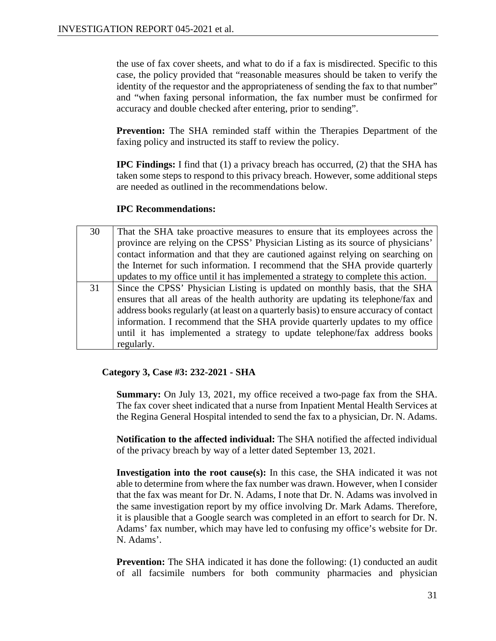the use of fax cover sheets, and what to do if a fax is misdirected. Specific to this case, the policy provided that "reasonable measures should be taken to verify the identity of the requestor and the appropriateness of sending the fax to that number" and "when faxing personal information, the fax number must be confirmed for accuracy and double checked after entering, prior to sending".

**Prevention:** The SHA reminded staff within the Therapies Department of the faxing policy and instructed its staff to review the policy.

**IPC Findings:** I find that (1) a privacy breach has occurred, (2) that the SHA has taken some steps to respond to this privacy breach. However, some additional steps are needed as outlined in the recommendations below.

# **IPC Recommendations:**

| 30 | That the SHA take proactive measures to ensure that its employees across the          |
|----|---------------------------------------------------------------------------------------|
|    | province are relying on the CPSS' Physician Listing as its source of physicians'      |
|    | contact information and that they are cautioned against relying on searching on       |
|    | the Internet for such information. I recommend that the SHA provide quarterly         |
|    | updates to my office until it has implemented a strategy to complete this action.     |
| 31 | Since the CPSS' Physician Listing is updated on monthly basis, that the SHA           |
|    | ensures that all areas of the health authority are updating its telephone/fax and     |
|    | address books regularly (at least on a quarterly basis) to ensure accuracy of contact |
|    | information. I recommend that the SHA provide quarterly updates to my office          |
|    | until it has implemented a strategy to update telephone/fax address books             |
|    | regularly.                                                                            |

# **Category 3, Case #3: 232-2021 - SHA**

**Summary:** On July 13, 2021, my office received a two-page fax from the SHA. The fax cover sheet indicated that a nurse from Inpatient Mental Health Services at the Regina General Hospital intended to send the fax to a physician, Dr. N. Adams.

**Notification to the affected individual:** The SHA notified the affected individual of the privacy breach by way of a letter dated September 13, 2021.

**Investigation into the root cause(s):** In this case, the SHA indicated it was not able to determine from where the fax number was drawn. However, when I consider that the fax was meant for Dr. N. Adams, I note that Dr. N. Adams was involved in the same investigation report by my office involving Dr. Mark Adams. Therefore, it is plausible that a Google search was completed in an effort to search for Dr. N. Adams' fax number, which may have led to confusing my office's website for Dr. N. Adams'.

**Prevention:** The SHA indicated it has done the following: (1) conducted an audit of all facsimile numbers for both community pharmacies and physician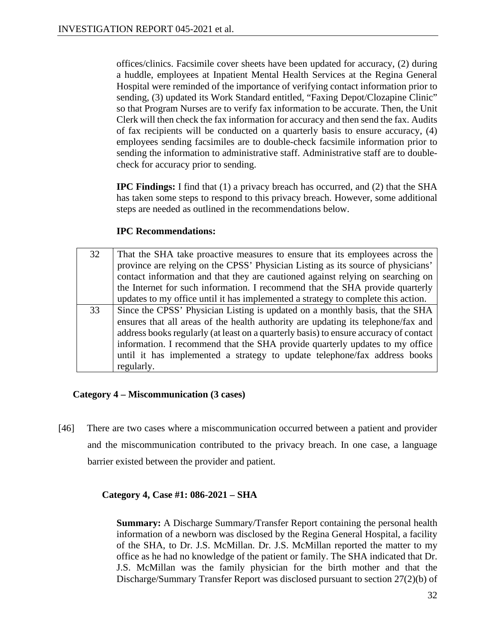offices/clinics. Facsimile cover sheets have been updated for accuracy, (2) during a huddle, employees at Inpatient Mental Health Services at the Regina General Hospital were reminded of the importance of verifying contact information prior to sending, (3) updated its Work Standard entitled, "Faxing Depot/Clozapine Clinic" so that Program Nurses are to verify fax information to be accurate. Then, the Unit Clerk will then check the fax information for accuracy and then send the fax. Audits of fax recipients will be conducted on a quarterly basis to ensure accuracy, (4) employees sending facsimiles are to double-check facsimile information prior to sending the information to administrative staff. Administrative staff are to doublecheck for accuracy prior to sending.

**IPC Findings:** I find that (1) a privacy breach has occurred, and (2) that the SHA has taken some steps to respond to this privacy breach. However, some additional steps are needed as outlined in the recommendations below.

# **IPC Recommendations:**

| 32 | That the SHA take proactive measures to ensure that its employees across the          |
|----|---------------------------------------------------------------------------------------|
|    | province are relying on the CPSS' Physician Listing as its source of physicians'      |
|    | contact information and that they are cautioned against relying on searching on       |
|    | the Internet for such information. I recommend that the SHA provide quarterly         |
|    | updates to my office until it has implemented a strategy to complete this action.     |
| 33 | Since the CPSS' Physician Listing is updated on a monthly basis, that the SHA         |
|    | ensures that all areas of the health authority are updating its telephone/fax and     |
|    | address books regularly (at least on a quarterly basis) to ensure accuracy of contact |
|    | information. I recommend that the SHA provide quarterly updates to my office          |
|    | until it has implemented a strategy to update telephone/fax address books             |
|    | regularly.                                                                            |

# **Category 4 – Miscommunication (3 cases)**

[46] There are two cases where a miscommunication occurred between a patient and provider and the miscommunication contributed to the privacy breach. In one case, a language barrier existed between the provider and patient.

# **Category 4, Case #1: 086-2021 – SHA**

**Summary:** A Discharge Summary/Transfer Report containing the personal health information of a newborn was disclosed by the Regina General Hospital, a facility of the SHA, to Dr. J.S. McMillan. Dr. J.S. McMillan reported the matter to my office as he had no knowledge of the patient or family. The SHA indicated that Dr. J.S. McMillan was the family physician for the birth mother and that the Discharge/Summary Transfer Report was disclosed pursuant to section 27(2)(b) of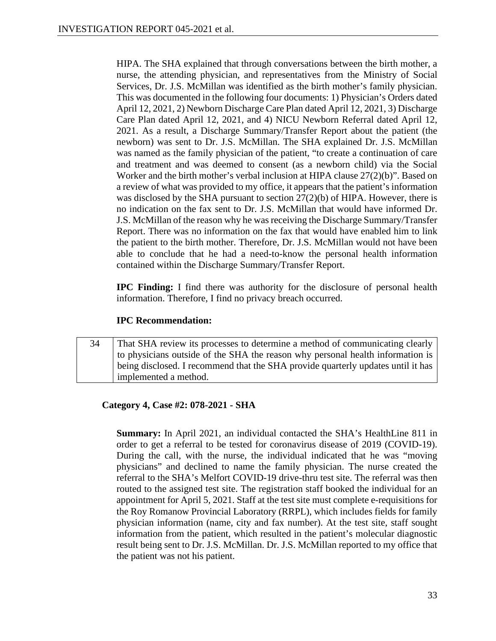HIPA. The SHA explained that through conversations between the birth mother, a nurse, the attending physician, and representatives from the Ministry of Social Services, Dr. J.S. McMillan was identified as the birth mother's family physician. This was documented in the following four documents: 1) Physician's Orders dated April 12, 2021, 2) Newborn Discharge Care Plan dated April 12, 2021, 3) Discharge Care Plan dated April 12, 2021, and 4) NICU Newborn Referral dated April 12, 2021. As a result, a Discharge Summary/Transfer Report about the patient (the newborn) was sent to Dr. J.S. McMillan. The SHA explained Dr. J.S. McMillan was named as the family physician of the patient, "to create a continuation of care and treatment and was deemed to consent (as a newborn child) via the Social Worker and the birth mother's verbal inclusion at HIPA clause 27(2)(b)". Based on a review of what was provided to my office, it appears that the patient's information was disclosed by the SHA pursuant to section  $27(2)(b)$  of HIPA. However, there is no indication on the fax sent to Dr. J.S. McMillan that would have informed Dr. J.S. McMillan of the reason why he was receiving the Discharge Summary/Transfer Report. There was no information on the fax that would have enabled him to link the patient to the birth mother. Therefore, Dr. J.S. McMillan would not have been able to conclude that he had a need-to-know the personal health information contained within the Discharge Summary/Transfer Report.

**IPC Finding:** I find there was authority for the disclosure of personal health information. Therefore, I find no privacy breach occurred.

# **IPC Recommendation:**

34 That SHA review its processes to determine a method of communicating clearly to physicians outside of the SHA the reason why personal health information is being disclosed. I recommend that the SHA provide quarterly updates until it has implemented a method.

# **Category 4, Case #2: 078-2021 - SHA**

**Summary:** In April 2021, an individual contacted the SHA's HealthLine 811 in order to get a referral to be tested for coronavirus disease of 2019 (COVID-19). During the call, with the nurse, the individual indicated that he was "moving physicians" and declined to name the family physician. The nurse created the referral to the SHA's Melfort COVID-19 drive-thru test site. The referral was then routed to the assigned test site. The registration staff booked the individual for an appointment for April 5, 2021. Staff at the test site must complete e-requisitions for the Roy Romanow Provincial Laboratory (RRPL), which includes fields for family physician information (name, city and fax number). At the test site, staff sought information from the patient, which resulted in the patient's molecular diagnostic result being sent to Dr. J.S. McMillan. Dr. J.S. McMillan reported to my office that the patient was not his patient.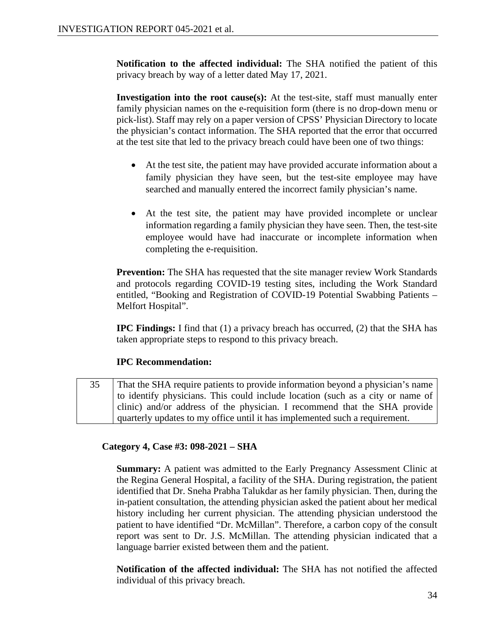**Notification to the affected individual:** The SHA notified the patient of this privacy breach by way of a letter dated May 17, 2021.

**Investigation into the root cause(s):** At the test-site, staff must manually enter family physician names on the e-requisition form (there is no drop-down menu or pick-list). Staff may rely on a paper version of CPSS' Physician Directory to locate the physician's contact information. The SHA reported that the error that occurred at the test site that led to the privacy breach could have been one of two things:

- At the test site, the patient may have provided accurate information about a family physician they have seen, but the test-site employee may have searched and manually entered the incorrect family physician's name.
- At the test site, the patient may have provided incomplete or unclear information regarding a family physician they have seen. Then, the test-site employee would have had inaccurate or incomplete information when completing the e-requisition.

**Prevention:** The SHA has requested that the site manager review Work Standards and protocols regarding COVID-19 testing sites, including the Work Standard entitled, "Booking and Registration of COVID-19 Potential Swabbing Patients – Melfort Hospital".

**IPC Findings:** I find that (1) a privacy breach has occurred, (2) that the SHA has taken appropriate steps to respond to this privacy breach.

# **IPC Recommendation:**

35 That the SHA require patients to provide information beyond a physician's name to identify physicians. This could include location (such as a city or name of clinic) and/or address of the physician. I recommend that the SHA provide quarterly updates to my office until it has implemented such a requirement.

# **Category 4, Case #3: 098-2021 – SHA**

**Summary:** A patient was admitted to the Early Pregnancy Assessment Clinic at the Regina General Hospital, a facility of the SHA. During registration, the patient identified that Dr. Sneha Prabha Talukdar as her family physician. Then, during the in-patient consultation, the attending physician asked the patient about her medical history including her current physician. The attending physician understood the patient to have identified "Dr. McMillan". Therefore, a carbon copy of the consult report was sent to Dr. J.S. McMillan. The attending physician indicated that a language barrier existed between them and the patient.

**Notification of the affected individual:** The SHA has not notified the affected individual of this privacy breach.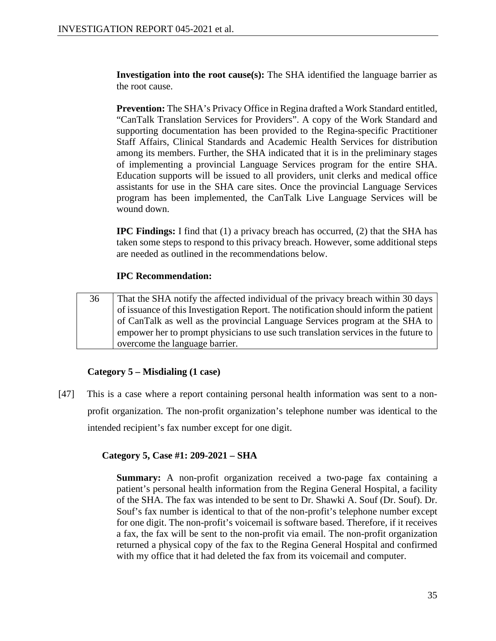**Investigation into the root cause(s):** The SHA identified the language barrier as the root cause.

**Prevention:** The SHA's Privacy Office in Regina drafted a Work Standard entitled, "CanTalk Translation Services for Providers". A copy of the Work Standard and supporting documentation has been provided to the Regina-specific Practitioner Staff Affairs, Clinical Standards and Academic Health Services for distribution among its members. Further, the SHA indicated that it is in the preliminary stages of implementing a provincial Language Services program for the entire SHA. Education supports will be issued to all providers, unit clerks and medical office assistants for use in the SHA care sites. Once the provincial Language Services program has been implemented, the CanTalk Live Language Services will be wound down.

**IPC Findings:** I find that (1) a privacy breach has occurred, (2) that the SHA has taken some steps to respond to this privacy breach. However, some additional steps are needed as outlined in the recommendations below.

# **IPC Recommendation:**

36 That the SHA notify the affected individual of the privacy breach within 30 days of issuance of this Investigation Report. The notification should inform the patient of CanTalk as well as the provincial Language Services program at the SHA to empower her to prompt physicians to use such translation services in the future to overcome the language barrier.

# **Category 5 – Misdialing (1 case)**

[47] This is a case where a report containing personal health information was sent to a nonprofit organization. The non-profit organization's telephone number was identical to the intended recipient's fax number except for one digit.

# **Category 5, Case #1: 209-2021 – SHA**

**Summary:** A non-profit organization received a two-page fax containing a patient's personal health information from the Regina General Hospital, a facility of the SHA. The fax was intended to be sent to Dr. Shawki A. Souf (Dr. Souf). Dr. Souf's fax number is identical to that of the non-profit's telephone number except for one digit. The non-profit's voicemail is software based. Therefore, if it receives a fax, the fax will be sent to the non-profit via email. The non-profit organization returned a physical copy of the fax to the Regina General Hospital and confirmed with my office that it had deleted the fax from its voicemail and computer.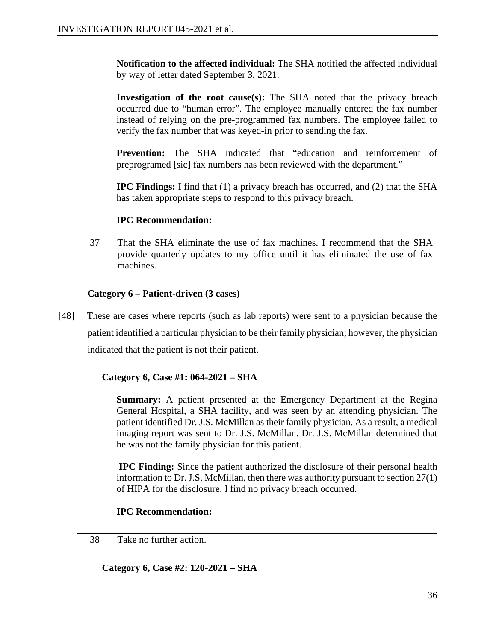**Notification to the affected individual:** The SHA notified the affected individual by way of letter dated September 3, 2021.

**Investigation of the root cause(s):** The SHA noted that the privacy breach occurred due to "human error". The employee manually entered the fax number instead of relying on the pre-programmed fax numbers. The employee failed to verify the fax number that was keyed-in prior to sending the fax.

**Prevention:** The SHA indicated that "education and reinforcement of preprogramed [sic] fax numbers has been reviewed with the department."

**IPC Findings:** I find that (1) a privacy breach has occurred, and (2) that the SHA has taken appropriate steps to respond to this privacy breach.

# **IPC Recommendation:**

 $37$  That the SHA eliminate the use of fax machines. I recommend that the SHA provide quarterly updates to my office until it has eliminated the use of fax machines.

# **Category 6 – Patient-driven (3 cases)**

[48] These are cases where reports (such as lab reports) were sent to a physician because the patient identified a particular physician to be their family physician; however, the physician indicated that the patient is not their patient.

# **Category 6, Case #1: 064-2021 – SHA**

**Summary:** A patient presented at the Emergency Department at the Regina General Hospital, a SHA facility, and was seen by an attending physician. The patient identified Dr. J.S. McMillan as their family physician. As a result, a medical imaging report was sent to Dr. J.S. McMillan. Dr. J.S. McMillan determined that he was not the family physician for this patient.

**IPC Finding:** Since the patient authorized the disclosure of their personal health information to Dr. J.S. McMillan, then there was authority pursuant to section 27(1) of HIPA for the disclosure. I find no privacy breach occurred.

# **IPC Recommendation:**

#### 38 Take no further action.

**Category 6, Case #2: 120-2021 – SHA**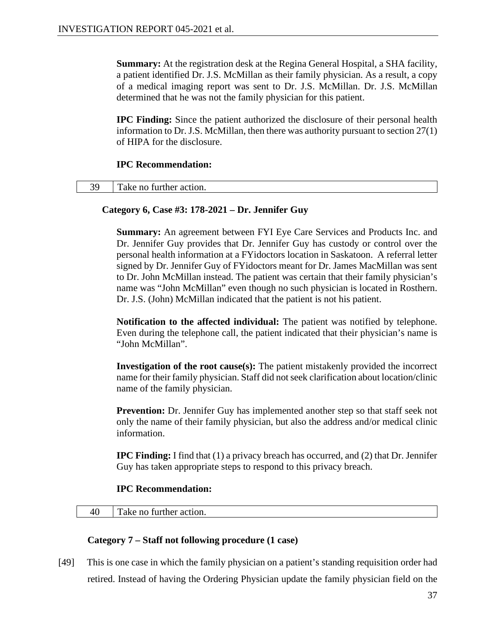**Summary:** At the registration desk at the Regina General Hospital, a SHA facility, a patient identified Dr. J.S. McMillan as their family physician. As a result, a copy of a medical imaging report was sent to Dr. J.S. McMillan. Dr. J.S. McMillan determined that he was not the family physician for this patient.

**IPC Finding:** Since the patient authorized the disclosure of their personal health information to Dr. J.S. McMillan, then there was authority pursuant to section 27(1) of HIPA for the disclosure.

### **IPC Recommendation:**

| 30<br>turther action.<br>Take no |
|----------------------------------|
|----------------------------------|

# **Category 6, Case #3: 178-2021 – Dr. Jennifer Guy**

**Summary:** An agreement between FYI Eye Care Services and Products Inc. and Dr. Jennifer Guy provides that Dr. Jennifer Guy has custody or control over the personal health information at a FYidoctors location in Saskatoon. A referral letter signed by Dr. Jennifer Guy of FYidoctors meant for Dr. James MacMillan was sent to Dr. John McMillan instead. The patient was certain that their family physician's name was "John McMillan" even though no such physician is located in Rosthern. Dr. J.S. (John) McMillan indicated that the patient is not his patient.

**Notification to the affected individual:** The patient was notified by telephone. Even during the telephone call, the patient indicated that their physician's name is "John McMillan".

**Investigation of the root cause(s):** The patient mistakenly provided the incorrect name for their family physician. Staff did not seek clarification about location/clinic name of the family physician.

**Prevention:** Dr. Jennifer Guy has implemented another step so that staff seek not only the name of their family physician, but also the address and/or medical clinic information.

**IPC Finding:** I find that (1) a privacy breach has occurred, and (2) that Dr. Jennifer Guy has taken appropriate steps to respond to this privacy breach.

# **IPC Recommendation:**

40 Take no further action.

# **Category 7 – Staff not following procedure (1 case)**

[49] This is one case in which the family physician on a patient's standing requisition order had retired. Instead of having the Ordering Physician update the family physician field on the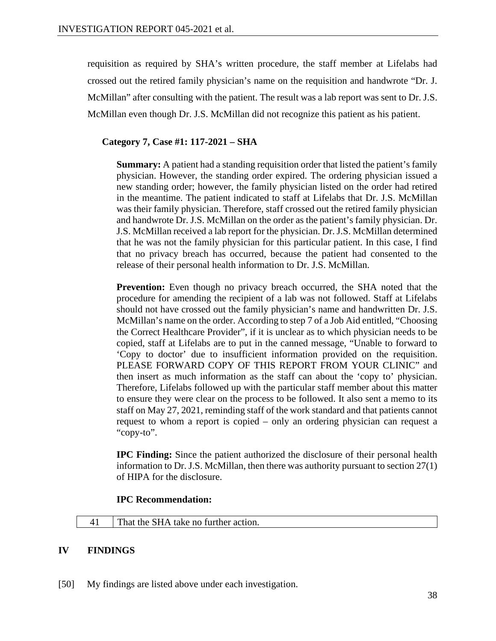requisition as required by SHA's written procedure, the staff member at Lifelabs had crossed out the retired family physician's name on the requisition and handwrote "Dr. J. McMillan" after consulting with the patient. The result was a lab report was sent to Dr. J.S. McMillan even though Dr. J.S. McMillan did not recognize this patient as his patient.

# **Category 7, Case #1: 117-2021 – SHA**

**Summary:** A patient had a standing requisition order that listed the patient's family physician. However, the standing order expired. The ordering physician issued a new standing order; however, the family physician listed on the order had retired in the meantime. The patient indicated to staff at Lifelabs that Dr. J.S. McMillan was their family physician. Therefore, staff crossed out the retired family physician and handwrote Dr. J.S. McMillan on the order as the patient's family physician. Dr. J.S. McMillan received a lab report for the physician. Dr. J.S. McMillan determined that he was not the family physician for this particular patient. In this case, I find that no privacy breach has occurred, because the patient had consented to the release of their personal health information to Dr. J.S. McMillan.

**Prevention:** Even though no privacy breach occurred, the SHA noted that the procedure for amending the recipient of a lab was not followed. Staff at Lifelabs should not have crossed out the family physician's name and handwritten Dr. J.S. McMillan's name on the order. According to step 7 of a Job Aid entitled, "Choosing the Correct Healthcare Provider", if it is unclear as to which physician needs to be copied, staff at Lifelabs are to put in the canned message, "Unable to forward to 'Copy to doctor' due to insufficient information provided on the requisition. PLEASE FORWARD COPY OF THIS REPORT FROM YOUR CLINIC" and then insert as much information as the staff can about the 'copy to' physician. Therefore, Lifelabs followed up with the particular staff member about this matter to ensure they were clear on the process to be followed. It also sent a memo to its staff on May 27, 2021, reminding staff of the work standard and that patients cannot request to whom a report is copied – only an ordering physician can request a "copy-to".

**IPC Finding:** Since the patient authorized the disclosure of their personal health information to Dr. J.S. McMillan, then there was authority pursuant to section 27(1) of HIPA for the disclosure.

# **IPC Recommendation:**

41 That the SHA take no further action.

# **IV FINDINGS**

[50] My findings are listed above under each investigation.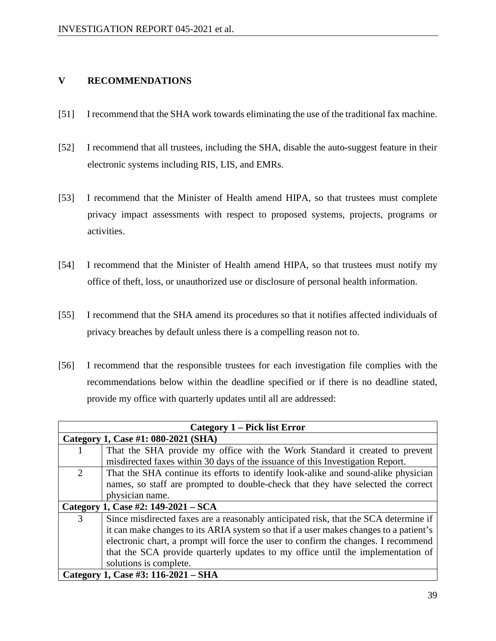# **V RECOMMENDATIONS**

- [51] I recommend that the SHA work towards eliminating the use of the traditional fax machine.
- [52] I recommend that all trustees, including the SHA, disable the auto-suggest feature in their electronic systems including RIS, LIS, and EMRs.
- [53] I recommend that the Minister of Health amend HIPA, so that trustees must complete privacy impact assessments with respect to proposed systems, projects, programs or activities.
- [54] I recommend that the Minister of Health amend HIPA, so that trustees must notify my office of theft, loss, or unauthorized use or disclosure of personal health information.
- [55] I recommend that the SHA amend its procedures so that it notifies affected individuals of privacy breaches by default unless there is a compelling reason not to.
- [56] I recommend that the responsible trustees for each investigation file complies with the recommendations below within the deadline specified or if there is no deadline stated, provide my office with quarterly updates until all are addressed:

| <b>Category 1 – Pick list Error</b> |                                                                                       |  |
|-------------------------------------|---------------------------------------------------------------------------------------|--|
| Category 1, Case #1: 080-2021 (SHA) |                                                                                       |  |
| -1                                  | That the SHA provide my office with the Work Standard it created to prevent           |  |
|                                     | misdirected faxes within 30 days of the issuance of this Investigation Report.        |  |
| 2                                   | That the SHA continue its efforts to identify look-alike and sound-alike physician    |  |
|                                     | names, so staff are prompted to double-check that they have selected the correct      |  |
|                                     | physician name.                                                                       |  |
| Category 1, Case #2: 149-2021 – SCA |                                                                                       |  |
| 3                                   | Since misdirected faxes are a reasonably anticipated risk, that the SCA determine if  |  |
|                                     | it can make changes to its ARIA system so that if a user makes changes to a patient's |  |
|                                     | electronic chart, a prompt will force the user to confirm the changes. I recommend    |  |
|                                     | that the SCA provide quarterly updates to my office until the implementation of       |  |
|                                     | solutions is complete.                                                                |  |
| Category 1, Case #3: 116-2021 – SHA |                                                                                       |  |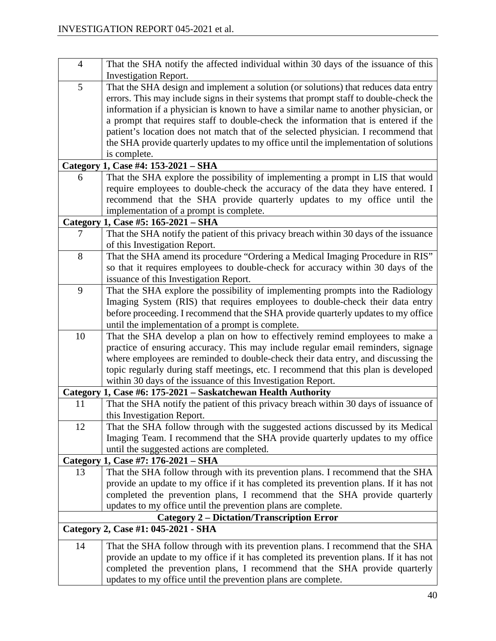| $\overline{4}$                                    | That the SHA notify the affected individual within 30 days of the issuance of this     |  |
|---------------------------------------------------|----------------------------------------------------------------------------------------|--|
|                                                   | <b>Investigation Report.</b>                                                           |  |
| 5                                                 | That the SHA design and implement a solution (or solutions) that reduces data entry    |  |
|                                                   | errors. This may include signs in their systems that prompt staff to double-check the  |  |
|                                                   | information if a physician is known to have a similar name to another physician, or    |  |
|                                                   | a prompt that requires staff to double-check the information that is entered if the    |  |
|                                                   | patient's location does not match that of the selected physician. I recommend that     |  |
|                                                   | the SHA provide quarterly updates to my office until the implementation of solutions   |  |
|                                                   | is complete.                                                                           |  |
|                                                   | Category 1, Case #4: 153-2021 - SHA                                                    |  |
| 6                                                 | That the SHA explore the possibility of implementing a prompt in LIS that would        |  |
|                                                   | require employees to double-check the accuracy of the data they have entered. I        |  |
|                                                   | recommend that the SHA provide quarterly updates to my office until the                |  |
|                                                   | implementation of a prompt is complete.                                                |  |
|                                                   | Category 1, Case #5: 165-2021 – SHA                                                    |  |
| 7                                                 | That the SHA notify the patient of this privacy breach within 30 days of the issuance  |  |
|                                                   | of this Investigation Report.                                                          |  |
| 8                                                 | That the SHA amend its procedure "Ordering a Medical Imaging Procedure in RIS"         |  |
|                                                   | so that it requires employees to double-check for accuracy within 30 days of the       |  |
|                                                   | issuance of this Investigation Report.                                                 |  |
| 9                                                 | That the SHA explore the possibility of implementing prompts into the Radiology        |  |
|                                                   | Imaging System (RIS) that requires employees to double-check their data entry          |  |
|                                                   | before proceeding. I recommend that the SHA provide quarterly updates to my office     |  |
|                                                   | until the implementation of a prompt is complete.                                      |  |
| 10                                                | That the SHA develop a plan on how to effectively remind employees to make a           |  |
|                                                   | practice of ensuring accuracy. This may include regular email reminders, signage       |  |
|                                                   | where employees are reminded to double-check their data entry, and discussing the      |  |
|                                                   | topic regularly during staff meetings, etc. I recommend that this plan is developed    |  |
|                                                   | within 30 days of the issuance of this Investigation Report.                           |  |
|                                                   | Category 1, Case #6: 175-2021 – Saskatchewan Health Authority                          |  |
| 11                                                | That the SHA notify the patient of this privacy breach within 30 days of issuance of   |  |
|                                                   | this Investigation Report.                                                             |  |
| 12                                                | That the SHA follow through with the suggested actions discussed by its Medical        |  |
|                                                   | Imaging Team. I recommend that the SHA provide quarterly updates to my office          |  |
|                                                   | until the suggested actions are completed.                                             |  |
|                                                   | Category 1, Case #7: 176-2021 – SHA                                                    |  |
| 13                                                | That the SHA follow through with its prevention plans. I recommend that the SHA        |  |
|                                                   | provide an update to my office if it has completed its prevention plans. If it has not |  |
|                                                   | completed the prevention plans, I recommend that the SHA provide quarterly             |  |
|                                                   | updates to my office until the prevention plans are complete.                          |  |
| <b>Category 2 – Dictation/Transcription Error</b> |                                                                                        |  |
| Category 2, Case #1: 045-2021 - SHA               |                                                                                        |  |
| 14                                                | That the SHA follow through with its prevention plans. I recommend that the SHA        |  |
|                                                   | provide an update to my office if it has completed its prevention plans. If it has not |  |
|                                                   | completed the prevention plans, I recommend that the SHA provide quarterly             |  |
|                                                   | updates to my office until the prevention plans are complete.                          |  |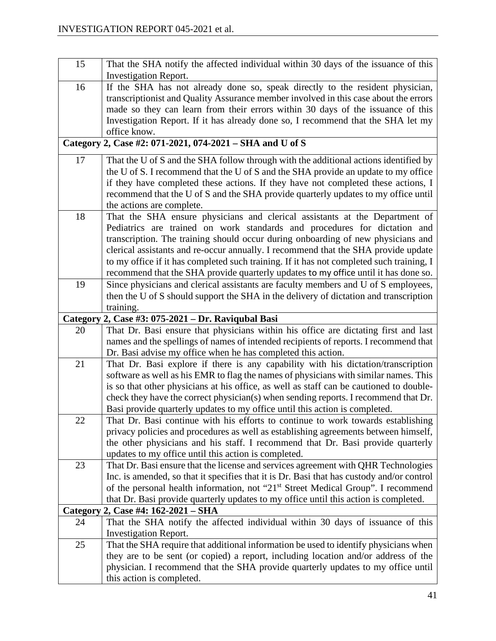| 15       | That the SHA notify the affected individual within 30 days of the issuance of this                                                                            |
|----------|---------------------------------------------------------------------------------------------------------------------------------------------------------------|
|          | <b>Investigation Report.</b>                                                                                                                                  |
| 16       | If the SHA has not already done so, speak directly to the resident physician,                                                                                 |
|          | transcriptionist and Quality Assurance member involved in this case about the errors                                                                          |
|          | made so they can learn from their errors within 30 days of the issuance of this                                                                               |
|          | Investigation Report. If it has already done so, I recommend that the SHA let my                                                                              |
|          | office know.                                                                                                                                                  |
|          | Category 2, Case #2: 071-2021, 074-2021 – SHA and U of S                                                                                                      |
| 17       | That the U of S and the SHA follow through with the additional actions identified by                                                                          |
|          | the U of S. I recommend that the U of S and the SHA provide an update to my office                                                                            |
|          | if they have completed these actions. If they have not completed these actions, I                                                                             |
|          | recommend that the U of S and the SHA provide quarterly updates to my office until                                                                            |
|          | the actions are complete.                                                                                                                                     |
| 18       | That the SHA ensure physicians and clerical assistants at the Department of                                                                                   |
|          | Pediatrics are trained on work standards and procedures for dictation and<br>transcription. The training should occur during onboarding of new physicians and |
|          | clerical assistants and re-occur annually. I recommend that the SHA provide update                                                                            |
|          | to my office if it has completed such training. If it has not completed such training, I                                                                      |
|          | recommend that the SHA provide quarterly updates to my office until it has done so.                                                                           |
| 19       | Since physicians and clerical assistants are faculty members and U of S employees,                                                                            |
|          | then the U of S should support the SHA in the delivery of dictation and transcription                                                                         |
|          | training.                                                                                                                                                     |
| Category | 2, Case #3: 075-2021 - Dr. Raviqubal Basi                                                                                                                     |
| 20       | That Dr. Basi ensure that physicians within his office are dictating first and last                                                                           |
|          | names and the spellings of names of intended recipients of reports. I recommend that                                                                          |
|          | Dr. Basi advise my office when he has completed this action.                                                                                                  |
| 21       | That Dr. Basi explore if there is any capability with his dictation/transcription                                                                             |
|          | software as well as his EMR to flag the names of physicians with similar names. This                                                                          |
|          | is so that other physicians at his office, as well as staff can be cautioned to double-                                                                       |
|          | check they have the correct physician(s) when sending reports. I recommend that Dr.                                                                           |
|          | Basi provide quarterly updates to my office until this action is completed.                                                                                   |
| 22       | That Dr. Basi continue with his efforts to continue to work towards establishing                                                                              |
|          | privacy policies and procedures as well as establishing agreements between himself,                                                                           |
|          | the other physicians and his staff. I recommend that Dr. Basi provide quarterly<br>updates to my office until this action is completed.                       |
| 23       | That Dr. Basi ensure that the license and services agreement with QHR Technologies                                                                            |
|          | Inc. is amended, so that it specifies that it is Dr. Basi that has custody and/or control                                                                     |
|          | of the personal health information, not "21 <sup>st</sup> Street Medical Group". I recommend                                                                  |
|          | that Dr. Basi provide quarterly updates to my office until this action is completed.                                                                          |
| Category | 2, Case #4: 162-2021 - SHA                                                                                                                                    |
| 24       | That the SHA notify the affected individual within 30 days of issuance of this                                                                                |
|          | <b>Investigation Report.</b>                                                                                                                                  |
| 25       | That the SHA require that additional information be used to identify physicians when                                                                          |
|          | they are to be sent (or copied) a report, including location and/or address of the                                                                            |
|          | physician. I recommend that the SHA provide quarterly updates to my office until                                                                              |
|          | this action is completed.                                                                                                                                     |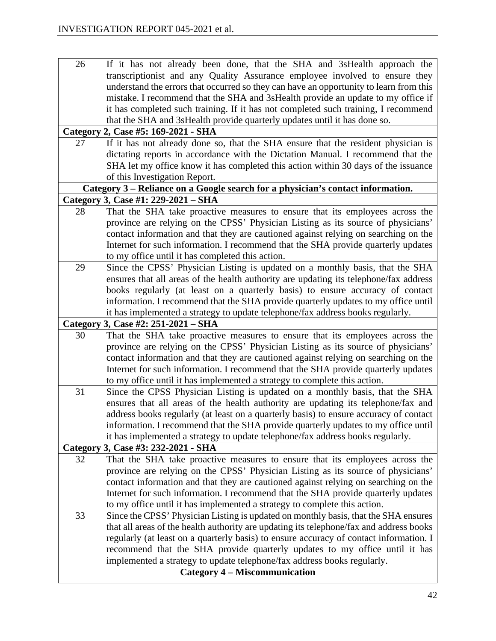| 26                                   | If it has not already been done, that the SHA and 3sHealth approach the                 |  |
|--------------------------------------|-----------------------------------------------------------------------------------------|--|
|                                      | transcriptionist and any Quality Assurance employee involved to ensure they             |  |
|                                      | understand the errors that occurred so they can have an opportunity to learn from this  |  |
|                                      | mistake. I recommend that the SHA and 3sHealth provide an update to my office if        |  |
|                                      | it has completed such training. If it has not completed such training, I recommend      |  |
|                                      | that the SHA and 3sHealth provide quarterly updates until it has done so.               |  |
| Category                             | 2, Case #5: 169-2021 - SHA                                                              |  |
| 27                                   | If it has not already done so, that the SHA ensure that the resident physician is       |  |
|                                      | dictating reports in accordance with the Dictation Manual. I recommend that the         |  |
|                                      | SHA let my office know it has completed this action within 30 days of the issuance      |  |
|                                      | of this Investigation Report.                                                           |  |
|                                      | Category 3 – Reliance on a Google search for a physician's contact information.         |  |
|                                      | Category 3, Case #1: 229-2021 – SHA                                                     |  |
| 28                                   | That the SHA take proactive measures to ensure that its employees across the            |  |
|                                      | province are relying on the CPSS' Physician Listing as its source of physicians'        |  |
|                                      | contact information and that they are cautioned against relying on searching on the     |  |
|                                      | Internet for such information. I recommend that the SHA provide quarterly updates       |  |
|                                      | to my office until it has completed this action.                                        |  |
| 29                                   | Since the CPSS' Physician Listing is updated on a monthly basis, that the SHA           |  |
|                                      | ensures that all areas of the health authority are updating its telephone/fax address   |  |
|                                      | books regularly (at least on a quarterly basis) to ensure accuracy of contact           |  |
|                                      | information. I recommend that the SHA provide quarterly updates to my office until      |  |
|                                      | it has implemented a strategy to update telephone/fax address books regularly.          |  |
|                                      | Category 3, Case #2: 251-2021 – SHA                                                     |  |
| 30                                   | That the SHA take proactive measures to ensure that its employees across the            |  |
|                                      |                                                                                         |  |
|                                      | province are relying on the CPSS' Physician Listing as its source of physicians'        |  |
|                                      | contact information and that they are cautioned against relying on searching on the     |  |
|                                      | Internet for such information. I recommend that the SHA provide quarterly updates       |  |
|                                      | to my office until it has implemented a strategy to complete this action.               |  |
| 31                                   | Since the CPSS Physician Listing is updated on a monthly basis, that the SHA            |  |
|                                      | ensures that all areas of the health authority are updating its telephone/fax and       |  |
|                                      | address books regularly (at least on a quarterly basis) to ensure accuracy of contact   |  |
|                                      | information. I recommend that the SHA provide quarterly updates to my office until      |  |
|                                      | it has implemented a strategy to update telephone/fax address books regularly.          |  |
|                                      | Category 3, Case #3: 232-2021 - SHA                                                     |  |
| 32                                   | That the SHA take proactive measures to ensure that its employees across the            |  |
|                                      | province are relying on the CPSS' Physician Listing as its source of physicians'        |  |
|                                      | contact information and that they are cautioned against relying on searching on the     |  |
|                                      | Internet for such information. I recommend that the SHA provide quarterly updates       |  |
|                                      | to my office until it has implemented a strategy to complete this action.               |  |
| 33                                   | Since the CPSS' Physician Listing is updated on monthly basis, that the SHA ensures     |  |
|                                      | that all areas of the health authority are updating its telephone/fax and address books |  |
|                                      | regularly (at least on a quarterly basis) to ensure accuracy of contact information. I  |  |
|                                      | recommend that the SHA provide quarterly updates to my office until it has              |  |
|                                      | implemented a strategy to update telephone/fax address books regularly.                 |  |
| <b>Category 4 - Miscommunication</b> |                                                                                         |  |
|                                      |                                                                                         |  |